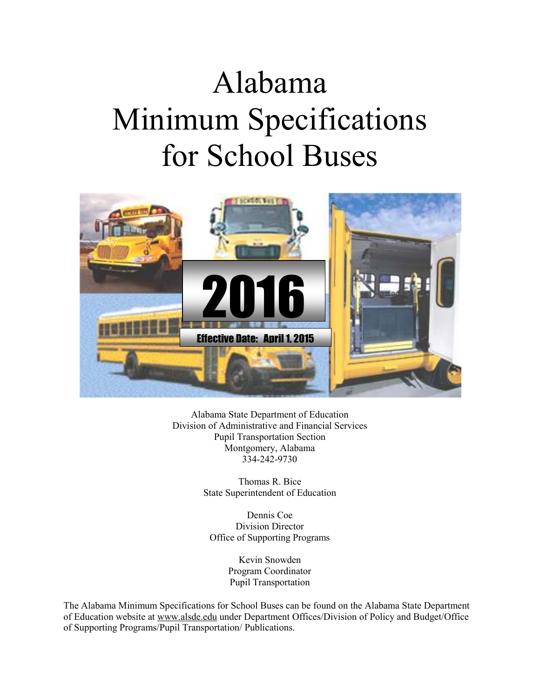# Alabama Minimum Specifications for School Buses



Alabama State Department of Education Division of Administrative and Financial Services Pupil Transportation Section Montgomery, Alabama 334-242-9730

> Thomas R. Bice State Superintendent of Education

Dennis Coe Division Director Office of Supporting Programs

> Kevin Snowden Program Coordinator Pupil Transportation

The Alabama Minimum Specifications for School Buses can be found on the Alabama State Department of Education website at www.alsde.edu under Department Offices/Division of Policy and Budget/Office of Supporting Programs/Pupil Transportation/ Publications.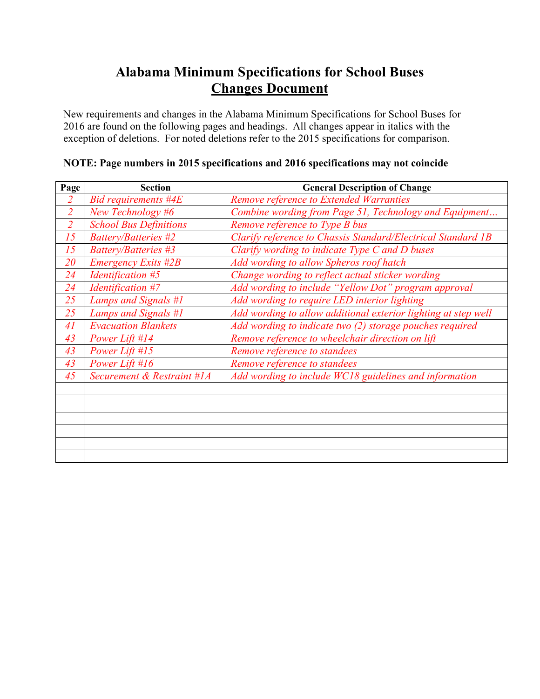# **Alabama Minimum Specifications for School Buses Changes Document**

New requirements and changes in the Alabama Minimum Specifications for School Buses for 2016 are found on the following pages and headings. All changes appear in italics with the exception of deletions. For noted deletions refer to the 2015 specifications for comparison.

| Page           | <b>Section</b>                | <b>General Description of Change</b>                           |
|----------------|-------------------------------|----------------------------------------------------------------|
| $\overline{2}$ | Bid requirements #4E          | Remove reference to Extended Warranties                        |
| $\overline{2}$ | New Technology #6             | Combine wording from Page 51, Technology and Equipment         |
| $\overline{2}$ | <b>School Bus Definitions</b> | Remove reference to Type B bus                                 |
| 15             | Battery/Batteries #2          | Clarify reference to Chassis Standard/Electrical Standard 1B   |
| 15             | Battery/Batteries #3          | Clarify wording to indicate Type C and D buses                 |
| 20             | <b>Emergency Exits #2B</b>    | Add wording to allow Spheros roof hatch                        |
| 24             | Identification #5             | Change wording to reflect actual sticker wording               |
| 24             | Identification #7             | Add wording to include "Yellow Dot" program approval           |
| 25             | Lamps and Signals #1          | Add wording to require LED interior lighting                   |
| 25             | Lamps and Signals #1          | Add wording to allow additional exterior lighting at step well |
| 41             | <b>Evacuation Blankets</b>    | Add wording to indicate two (2) storage pouches required       |
| 43             | Power Lift #14                | Remove reference to wheelchair direction on lift               |
| 43             | Power Lift #15                | Remove reference to standees                                   |
| 43             | Power Lift #16                | Remove reference to standees                                   |
| 45             | Securement & Restraint #1A    | Add wording to include WC18 guidelines and information         |
|                |                               |                                                                |
|                |                               |                                                                |
|                |                               |                                                                |
|                |                               |                                                                |
|                |                               |                                                                |
|                |                               |                                                                |

#### **NOTE: Page numbers in 2015 specifications and 2016 specifications may not coincide**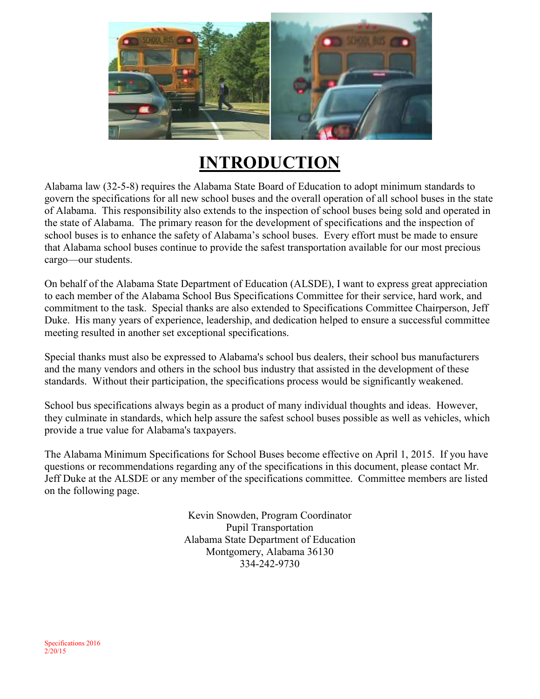

# **INTRODUCTION**

Alabama law (32-5-8) requires the Alabama State Board of Education to adopt minimum standards to govern the specifications for all new school buses and the overall operation of all school buses in the state of Alabama. This responsibility also extends to the inspection of school buses being sold and operated in the state of Alabama. The primary reason for the development of specifications and the inspection of school buses is to enhance the safety of Alabama's school buses. Every effort must be made to ensure that Alabama school buses continue to provide the safest transportation available for our most precious cargo—our students.

On behalf of the Alabama State Department of Education (ALSDE), I want to express great appreciation to each member of the Alabama School Bus Specifications Committee for their service, hard work, and commitment to the task. Special thanks are also extended to Specifications Committee Chairperson, Jeff Duke. His many years of experience, leadership, and dedication helped to ensure a successful committee meeting resulted in another set exceptional specifications.

Special thanks must also be expressed to Alabama's school bus dealers, their school bus manufacturers and the many vendors and others in the school bus industry that assisted in the development of these standards. Without their participation, the specifications process would be significantly weakened.

School bus specifications always begin as a product of many individual thoughts and ideas. However, they culminate in standards, which help assure the safest school buses possible as well as vehicles, which provide a true value for Alabama's taxpayers.

The Alabama Minimum Specifications for School Buses become effective on April 1, 2015. If you have questions or recommendations regarding any of the specifications in this document, please contact Mr. Jeff Duke at the ALSDE or any member of the specifications committee. Committee members are listed on the following page.

> Kevin Snowden, Program Coordinator Pupil Transportation Alabama State Department of Education Montgomery, Alabama 36130 334-242-9730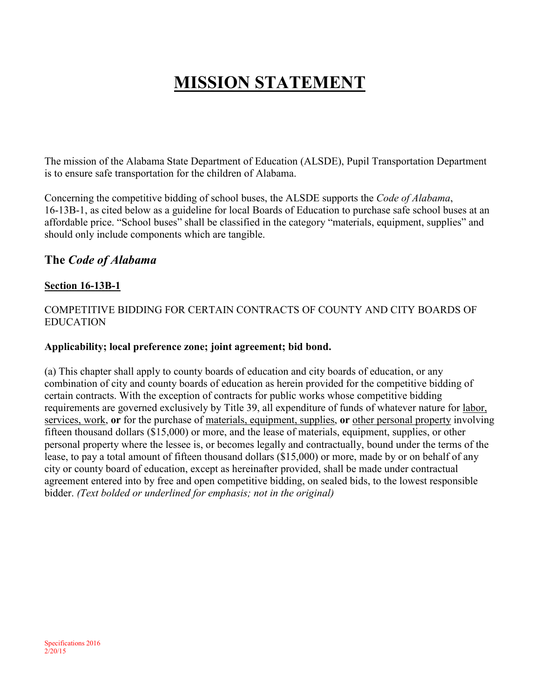# **MISSION STATEMENT**

The mission of the Alabama State Department of Education (ALSDE), Pupil Transportation Department is to ensure safe transportation for the children of Alabama.

Concerning the competitive bidding of school buses, the ALSDE supports the *Code of Alabama*, 16-13B-1, as cited below as a guideline for local Boards of Education to purchase safe school buses at an affordable price. "School buses" shall be classified in the category "materials, equipment, supplies" and should only include components which are tangible.

#### **The** *Code of Alabama*

#### **Section 16-13B-1**

#### COMPETITIVE BIDDING FOR CERTAIN CONTRACTS OF COUNTY AND CITY BOARDS OF EDUCATION

#### **Applicability; local preference zone; joint agreement; bid bond.**

(a) This chapter shall apply to county boards of education and city boards of education, or any combination of city and county boards of education as herein provided for the competitive bidding of certain contracts. With the exception of contracts for public works whose competitive bidding requirements are governed exclusively by Title 39, all expenditure of funds of whatever nature for labor, services, work, **or** for the purchase of materials, equipment, supplies, **or** other personal property involving fifteen thousand dollars (\$15,000) or more, and the lease of materials, equipment, supplies, or other personal property where the lessee is, or becomes legally and contractually, bound under the terms of the lease, to pay a total amount of fifteen thousand dollars (\$15,000) or more, made by or on behalf of any city or county board of education, except as hereinafter provided, shall be made under contractual agreement entered into by free and open competitive bidding, on sealed bids, to the lowest responsible bidder. *(Text bolded or underlined for emphasis; not in the original)*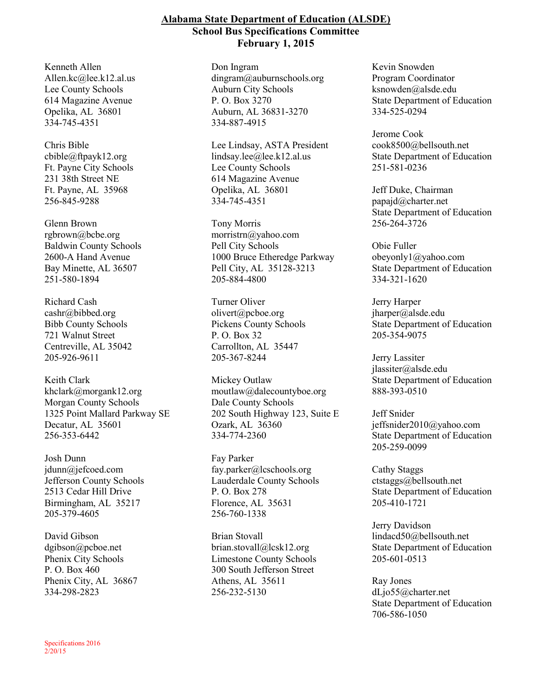#### **Alabama State Department of Education (ALSDE) School Bus Specifications Committee February 1, 2015**

Kenneth Allen Allen.kc@lee.k12.al.us Lee County Schools 614 Magazine Avenue Opelika, AL 36801 334-745-4351

Chris Bible cbible@ftpayk12.org Ft. Payne City Schools 231 38th Street NE Ft. Payne, AL 35968 256-845-9288

Glenn Brown rgbrown@bcbe.org Baldwin County Schools 2600-A Hand Avenue Bay Minette, AL 36507 251-580-1894

Richard Cash cashr@bibbed.org Bibb County Schools 721 Walnut Street Centreville, AL 35042 205-926-9611

Keith Clark khclark@morgank12.org Morgan County Schools 1325 Point Mallard Parkway SE Decatur, AL 35601 256-353-6442

Josh Dunn jdunn@jefcoed.com Jefferson County Schools 2513 Cedar Hill Drive Birmingham, AL 35217 205-379-4605

David Gibson dgibson@pcboe.net Phenix City Schools P. O. Box 460 Phenix City, AL 36867 334-298-2823

Specifications 2016 2/20/15

Don Ingram dingram@auburnschools.org Auburn City Schools P. O. Box 3270 Auburn, AL 36831-3270 334-887-4915

Lee Lindsay, ASTA President lindsay.lee@lee.k12.al.us Lee County Schools 614 Magazine Avenue Opelika, AL 36801 334-745-4351

Tony Morris morristrn@yahoo.com Pell City Schools 1000 Bruce Etheredge Parkway Pell City, AL 35128-3213 205-884-4800

Turner Oliver olivert@pcboe.org Pickens County Schools P. O. Box 32 Carrollton, AL 35447 205-367-8244

Mickey Outlaw moutlaw@dalecountyboe.org Dale County Schools 202 South Highway 123, Suite E Ozark, AL 36360 334-774-2360

Fay Parker fay.parker@lcschools.org Lauderdale County Schools P. O. Box 278 Florence, AL 35631 256-760-1338

Brian Stovall brian.stovall@lcsk12.org Limestone County Schools 300 South Jefferson Street Athens, AL 35611 256-232-5130

Kevin Snowden Program Coordinator ksnowden@alsde.edu State Department of Education 334-525-0294

Jerome Cook cook8500@bellsouth.net State Department of Education 251-581-0236

Jeff Duke, Chairman papajd@charter.net State Department of Education 256-264-3726

Obie Fuller obeyonly1@yahoo.com State Department of Education 334-321-1620

Jerry Harper jharper@alsde.edu State Department of Education 205-354-9075

Jerry Lassiter jlassiter@alsde.edu State Department of Education 888-393-0510

Jeff Snider jeffsnider2010@yahoo.com State Department of Education 205-259-0099

Cathy Staggs ctstaggs@bellsouth.net State Department of Education 205-410-1721

Jerry Davidson lindacd50@bellsouth.net State Department of Education 205-601-0513

Ray Jones dLjo55@charter.net State Department of Education 706-586-1050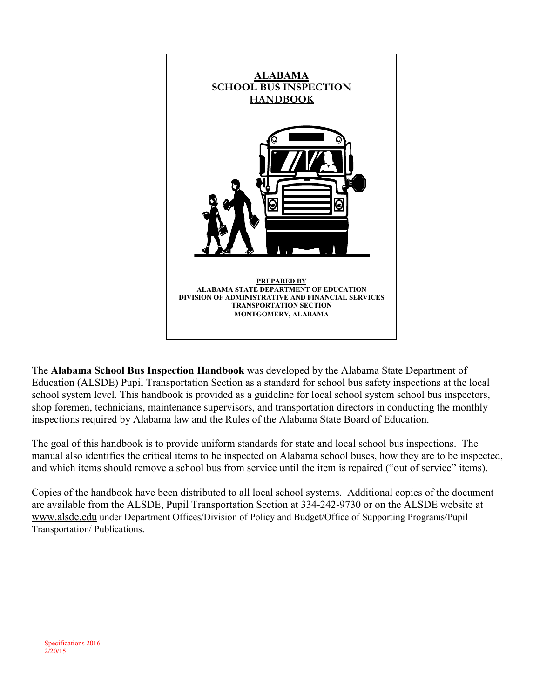

The **Alabama School Bus Inspection Handbook** was developed by the Alabama State Department of Education (ALSDE) Pupil Transportation Section as a standard for school bus safety inspections at the local school system level. This handbook is provided as a guideline for local school system school bus inspectors, shop foremen, technicians, maintenance supervisors, and transportation directors in conducting the monthly inspections required by Alabama law and the Rules of the Alabama State Board of Education.

The goal of this handbook is to provide uniform standards for state and local school bus inspections. The manual also identifies the critical items to be inspected on Alabama school buses, how they are to be inspected, and which items should remove a school bus from service until the item is repaired ("out of service" items).

Copies of the handbook have been distributed to all local school systems. Additional copies of the document are available from the ALSDE, Pupil Transportation Section at 334-242-9730 or on the ALSDE website at www.alsde.edu under Department Offices/Division of Policy and Budget/Office of Supporting Programs/Pupil Transportation/ Publications.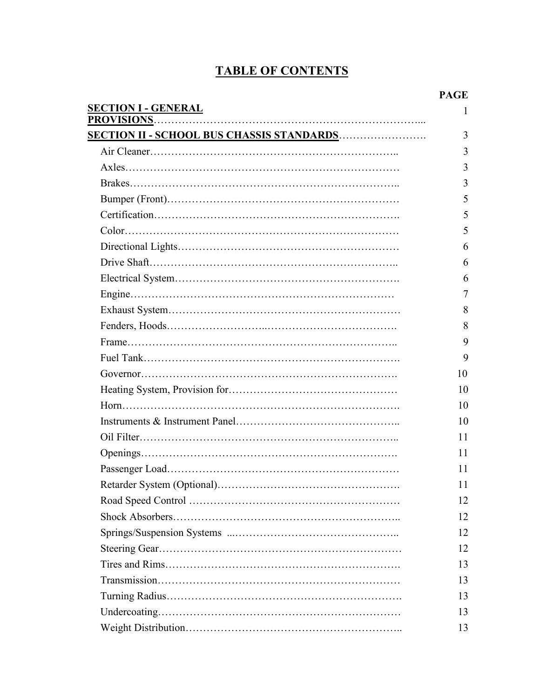# **TABLE OF CONTENTS**

|                                                  | <b>PAGE</b> |
|--------------------------------------------------|-------------|
| <b>SECTION I - GENERAL</b>                       | 1           |
|                                                  | 3           |
| <u>SECTION II - SCHOOL BUS CHASSIS STANDARDS</u> | 3           |
|                                                  | 3           |
|                                                  | 3           |
|                                                  | 5           |
|                                                  | 5           |
|                                                  | 5           |
|                                                  |             |
|                                                  | 6           |
|                                                  | 6           |
|                                                  | 6           |
|                                                  | 7           |
|                                                  | 8           |
|                                                  | 8           |
|                                                  | 9           |
|                                                  | 9           |
|                                                  | 10          |
|                                                  | 10          |
|                                                  | 10          |
|                                                  | 10          |
|                                                  | 11          |
|                                                  | 11          |
|                                                  | 11          |
|                                                  | 11          |
|                                                  | 12          |
|                                                  | 12          |
|                                                  | 12          |
|                                                  | 12          |
|                                                  | 13          |
|                                                  | 13          |
|                                                  | 13          |
|                                                  | 13          |
|                                                  | 13          |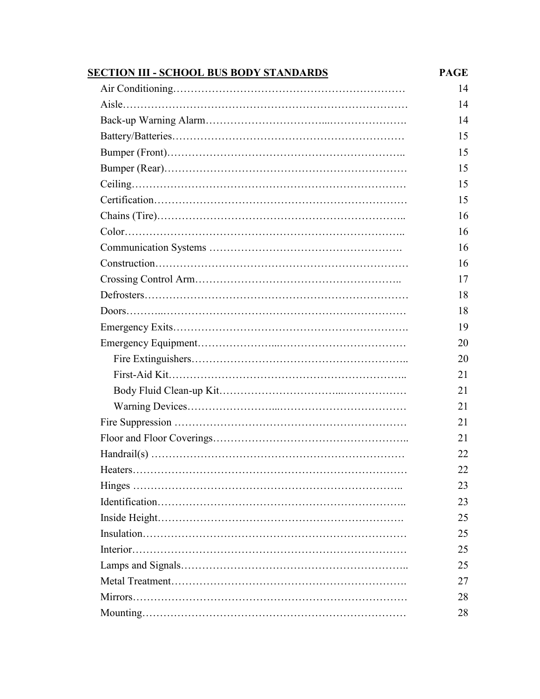| <b>SECTION III - SCHOOL BUS BODY STANDARDS</b> | <b>PAGE</b> |
|------------------------------------------------|-------------|
|                                                | 14          |
|                                                | 14          |
|                                                | 14          |
|                                                | 15          |
|                                                | 15          |
|                                                | 15          |
|                                                | 15          |
|                                                | 15          |
|                                                | 16          |
|                                                | 16          |
|                                                | 16          |
|                                                | 16          |
|                                                | 17          |
|                                                | 18          |
|                                                | 18          |
|                                                | 19          |
|                                                | 20          |
|                                                | 20          |
|                                                | 21          |
|                                                | 21          |
|                                                | 21          |
|                                                | 21          |
|                                                | 21          |
|                                                | 22          |
|                                                | 22          |
|                                                | 23          |
|                                                | 23          |
|                                                | 25          |
|                                                | 25          |
|                                                | 25          |
|                                                | 25          |
|                                                | 27          |
|                                                | 28          |
|                                                | 28          |
|                                                |             |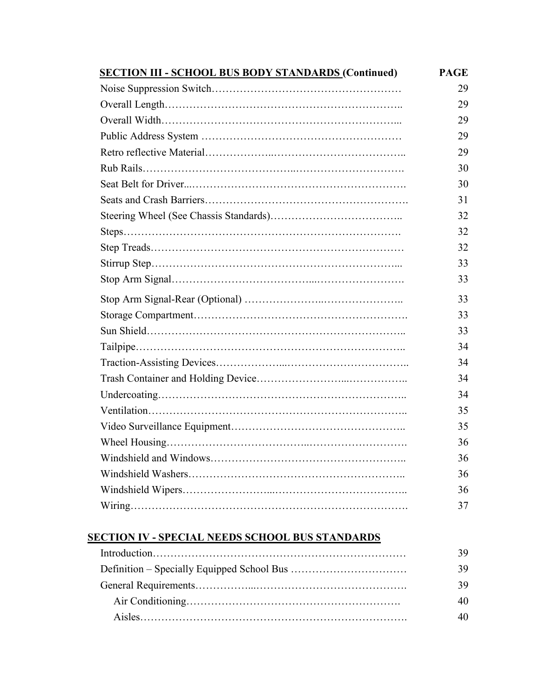| <b>SECTION III - SCHOOL BUS BODY STANDARDS (Continued)</b> | <b>PAGE</b> |
|------------------------------------------------------------|-------------|
|                                                            | 29          |
|                                                            | 29          |
|                                                            | 29          |
|                                                            | 29          |
|                                                            | 29          |
|                                                            | 30          |
|                                                            | 30          |
|                                                            | 31          |
|                                                            | 32          |
|                                                            | 32          |
|                                                            | 32          |
|                                                            | 33          |
|                                                            | 33          |
|                                                            | 33          |
|                                                            | 33          |
|                                                            | 33          |
|                                                            | 34          |
|                                                            | 34          |
|                                                            | 34          |
|                                                            | 34          |
|                                                            | 35          |
|                                                            | 35          |
|                                                            | 36          |
|                                                            | 36          |
|                                                            | 36          |
|                                                            | 36          |
|                                                            | 37          |

#### **SECTION IV - SPECIAL NEEDS SCHOOL BUS STANDARDS**

| 39 |
|----|
| 39 |
| 39 |
| 40 |
| 40 |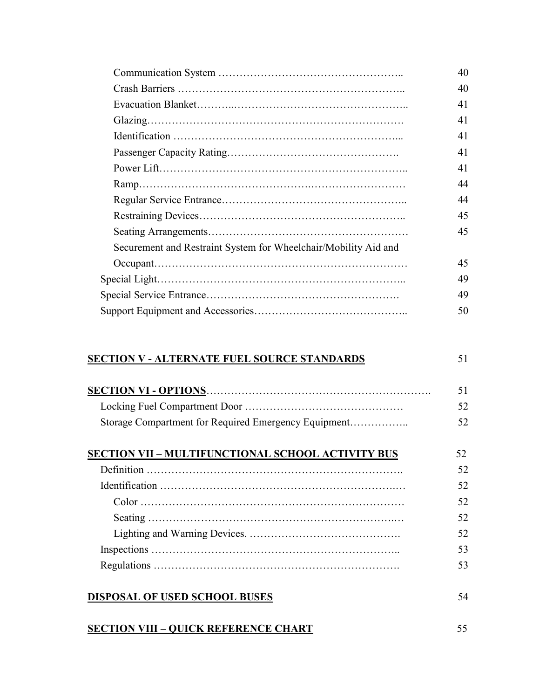|                                                                 | 40 |
|-----------------------------------------------------------------|----|
|                                                                 | 40 |
|                                                                 | 41 |
|                                                                 | 41 |
|                                                                 | 41 |
|                                                                 | 41 |
|                                                                 | 41 |
|                                                                 | 44 |
|                                                                 | 44 |
|                                                                 | 45 |
|                                                                 | 45 |
| Securement and Restraint System for Wheelchair/Mobility Aid and |    |
|                                                                 | 45 |
|                                                                 | 49 |
|                                                                 | 49 |
|                                                                 | 50 |

#### **SECTION V - ALTERNATE FUEL SOURCE STANDARDS** 51

|                                                          | 51 |
|----------------------------------------------------------|----|
|                                                          | 52 |
|                                                          | 52 |
| <b>SECTION VII - MULTIFUNCTIONAL SCHOOL ACTIVITY BUS</b> | 52 |
|                                                          | 52 |
|                                                          | 52 |
|                                                          | 52 |
|                                                          | 52 |
|                                                          | 52 |

 Inspections …………………………………………………………….. 53 Regulations ……………………………………………………………. 53

# **DISPOSAL OF USED SCHOOL BUSES**

#### **SECTION VIII – QUICK REFERENCE CHART**

55

54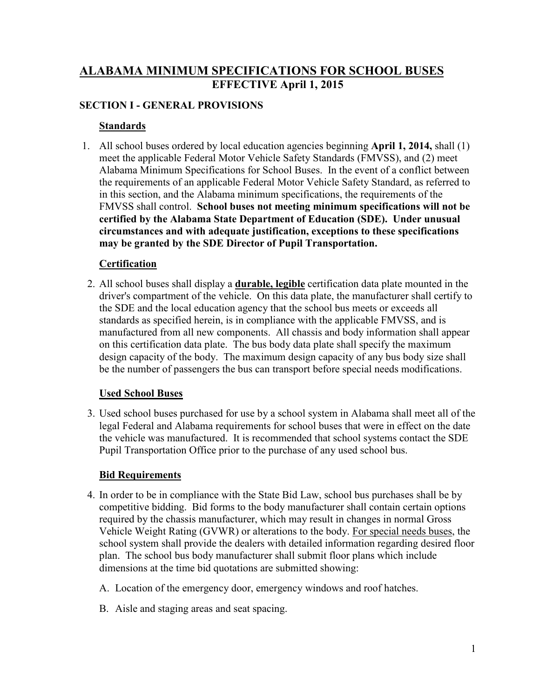### **ALABAMA MINIMUM SPECIFICATIONS FOR SCHOOL BUSES EFFECTIVE April 1, 2015**

#### **SECTION I - GENERAL PROVISIONS**

#### **Standards**

 1. All school buses ordered by local education agencies beginning **April 1, 2014,** shall (1) meet the applicable Federal Motor Vehicle Safety Standards (FMVSS), and (2) meet Alabama Minimum Specifications for School Buses. In the event of a conflict between the requirements of an applicable Federal Motor Vehicle Safety Standard, as referred to in this section, and the Alabama minimum specifications, the requirements of the FMVSS shall control. **School buses not meeting minimum specifications will not be certified by the Alabama State Department of Education (SDE). Under unusual circumstances and with adequate justification, exceptions to these specifications may be granted by the SDE Director of Pupil Transportation.**

#### **Certification**

 2. All school buses shall display a **durable, legible** certification data plate mounted in the driver's compartment of the vehicle. On this data plate, the manufacturer shall certify to the SDE and the local education agency that the school bus meets or exceeds all standards as specified herein, is in compliance with the applicable FMVSS, and is manufactured from all new components. All chassis and body information shall appear on this certification data plate. The bus body data plate shall specify the maximum design capacity of the body. The maximum design capacity of any bus body size shall be the number of passengers the bus can transport before special needs modifications.

#### **Used School Buses**

 3. Used school buses purchased for use by a school system in Alabama shall meet all of the legal Federal and Alabama requirements for school buses that were in effect on the date the vehicle was manufactured. It is recommended that school systems contact the SDE Pupil Transportation Office prior to the purchase of any used school bus.

#### **Bid Requirements**

- 4. In order to be in compliance with the State Bid Law, school bus purchases shall be by competitive bidding. Bid forms to the body manufacturer shall contain certain options required by the chassis manufacturer, which may result in changes in normal Gross Vehicle Weight Rating (GVWR) or alterations to the body. For special needs buses, the school system shall provide the dealers with detailed information regarding desired floor plan. The school bus body manufacturer shall submit floor plans which include dimensions at the time bid quotations are submitted showing:
	- A. Location of the emergency door, emergency windows and roof hatches.
	- B. Aisle and staging areas and seat spacing.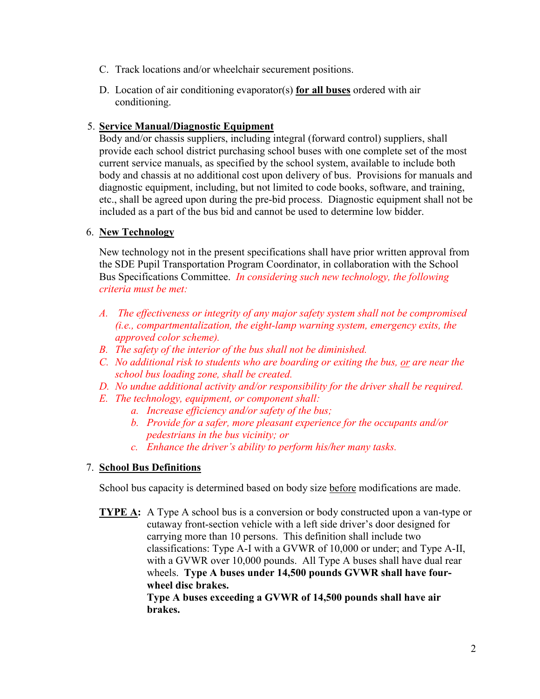- C. Track locations and/or wheelchair securement positions.
- D. Location of air conditioning evaporator(s) **for all buses** ordered with air conditioning.

#### 5. **Service Manual/Diagnostic Equipment**

 Body and/or chassis suppliers, including integral (forward control) suppliers, shall provide each school district purchasing school buses with one complete set of the most current service manuals, as specified by the school system, available to include both body and chassis at no additional cost upon delivery of bus. Provisions for manuals and diagnostic equipment, including, but not limited to code books, software, and training, etc., shall be agreed upon during the pre-bid process. Diagnostic equipment shall not be included as a part of the bus bid and cannot be used to determine low bidder.

#### 6. **New Technology**

New technology not in the present specifications shall have prior written approval from the SDE Pupil Transportation Program Coordinator, in collaboration with the School Bus Specifications Committee. *In considering such new technology, the following criteria must be met:* 

- *A. The effectiveness or integrity of any major safety system shall not be compromised (i.e., compartmentalization, the eight-lamp warning system, emergency exits, the approved color scheme).*
- *B. The safety of the interior of the bus shall not be diminished.*
- *C. No additional risk to students who are boarding or exiting the bus, or are near the school bus loading zone, shall be created.*
- *D. No undue additional activity and/or responsibility for the driver shall be required.*
- *E. The technology, equipment, or component shall:* 
	- *a. Increase efficiency and/or safety of the bus;*
	- *b. Provide for a safer, more pleasant experience for the occupants and/or pedestrians in the bus vicinity; or*
	- *c. Enhance the driver's ability to perform his/her many tasks.*

#### 7. **School Bus Definitions**

School bus capacity is determined based on body size before modifications are made.

**TYPE A:** A Type A school bus is a conversion or body constructed upon a van-type or cutaway front-section vehicle with a left side driver's door designed for carrying more than 10 persons. This definition shall include two classifications: Type A-I with a GVWR of 10,000 or under; and Type A-II, with a GVWR over 10,000 pounds. All Type A buses shall have dual rear wheels. **Type A buses under 14,500 pounds GVWR shall have fourwheel disc brakes. Type A buses exceeding a GVWR of 14,500 pounds shall have air brakes.**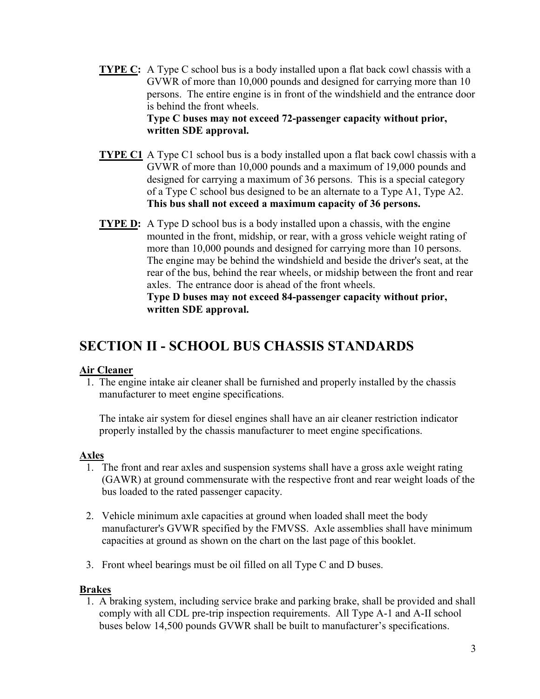- **TYPE C:** A Type C school bus is a body installed upon a flat back cowl chassis with a GVWR of more than 10,000 pounds and designed for carrying more than 10 persons. The entire engine is in front of the windshield and the entrance door is behind the front wheels.  **Type C buses may not exceed 72-passenger capacity without prior, written SDE approval.**
- **TYPE C1** A Type C1 school bus is a body installed upon a flat back cowl chassis with a GVWR of more than 10,000 pounds and a maximum of 19,000 pounds and designed for carrying a maximum of 36 persons. This is a special category of a Type C school bus designed to be an alternate to a Type A1, Type A2. **This bus shall not exceed a maximum capacity of 36 persons.**
- **TYPE D:** A Type D school bus is a body installed upon a chassis, with the engine mounted in the front, midship, or rear, with a gross vehicle weight rating of more than 10,000 pounds and designed for carrying more than 10 persons. The engine may be behind the windshield and beside the driver's seat, at the rear of the bus, behind the rear wheels, or midship between the front and rear axles. The entrance door is ahead of the front wheels.

#### **Type D buses may not exceed 84-passenger capacity without prior, written SDE approval.**

# **SECTION II - SCHOOL BUS CHASSIS STANDARDS**

#### **Air Cleaner**

 1. The engine intake air cleaner shall be furnished and properly installed by the chassis manufacturer to meet engine specifications.

 The intake air system for diesel engines shall have an air cleaner restriction indicator properly installed by the chassis manufacturer to meet engine specifications.

#### **Axles**

- 1. The front and rear axles and suspension systems shall have a gross axle weight rating (GAWR) at ground commensurate with the respective front and rear weight loads of the bus loaded to the rated passenger capacity.
- 2. Vehicle minimum axle capacities at ground when loaded shall meet the body manufacturer's GVWR specified by the FMVSS. Axle assemblies shall have minimum capacities at ground as shown on the chart on the last page of this booklet.
- 3. Front wheel bearings must be oil filled on all Type C and D buses.

#### **Brakes**

 1. A braking system, including service brake and parking brake, shall be provided and shall comply with all CDL pre-trip inspection requirements. All Type A-1 and A-II school buses below 14,500 pounds GVWR shall be built to manufacturer's specifications.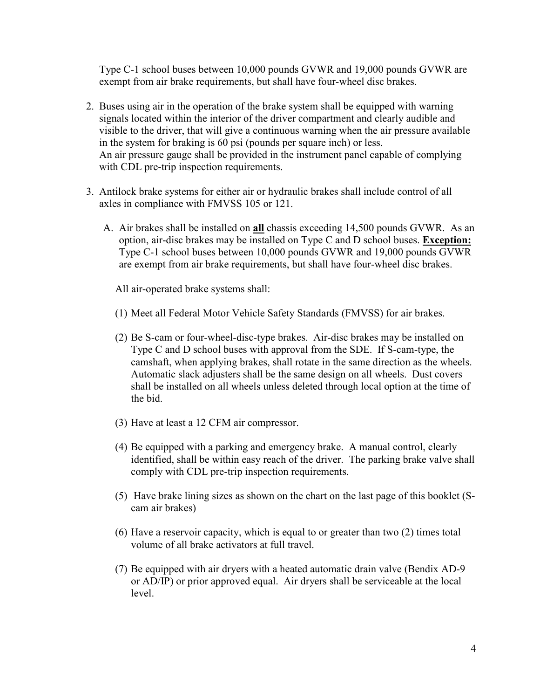Type C-1 school buses between 10,000 pounds GVWR and 19,000 pounds GVWR are exempt from air brake requirements, but shall have four-wheel disc brakes.

- 2. Buses using air in the operation of the brake system shall be equipped with warning signals located within the interior of the driver compartment and clearly audible and visible to the driver, that will give a continuous warning when the air pressure available in the system for braking is 60 psi (pounds per square inch) or less. An air pressure gauge shall be provided in the instrument panel capable of complying with CDL pre-trip inspection requirements.
- 3. Antilock brake systems for either air or hydraulic brakes shall include control of all axles in compliance with FMVSS 105 or 121.
	- A. Air brakes shall be installed on **all** chassis exceeding 14,500 pounds GVWR. As an option, air-disc brakes may be installed on Type C and D school buses. **Exception:** Type C-1 school buses between 10,000 pounds GVWR and 19,000 pounds GVWR are exempt from air brake requirements, but shall have four-wheel disc brakes.

All air-operated brake systems shall:

- (1) Meet all Federal Motor Vehicle Safety Standards (FMVSS) for air brakes.
- (2) Be S-cam or four-wheel-disc-type brakes. Air-disc brakes may be installed on Type C and D school buses with approval from the SDE. If S-cam-type, the camshaft, when applying brakes, shall rotate in the same direction as the wheels. Automatic slack adjusters shall be the same design on all wheels. Dust covers shall be installed on all wheels unless deleted through local option at the time of the bid.
- (3) Have at least a 12 CFM air compressor.
- (4) Be equipped with a parking and emergency brake. A manual control, clearly identified, shall be within easy reach of the driver. The parking brake valve shall comply with CDL pre-trip inspection requirements.
- (5) Have brake lining sizes as shown on the chart on the last page of this booklet (Scam air brakes)
- (6) Have a reservoir capacity, which is equal to or greater than two (2) times total volume of all brake activators at full travel.
- (7) Be equipped with air dryers with a heated automatic drain valve (Bendix AD-9 or AD/IP) or prior approved equal. Air dryers shall be serviceable at the local level.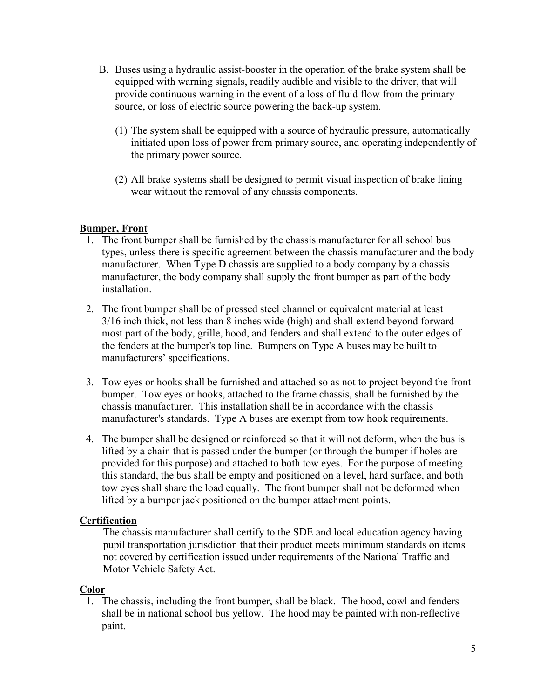- B. Buses using a hydraulic assist-booster in the operation of the brake system shall be equipped with warning signals, readily audible and visible to the driver, that will provide continuous warning in the event of a loss of fluid flow from the primary source, or loss of electric source powering the back-up system.
	- (1) The system shall be equipped with a source of hydraulic pressure, automatically initiated upon loss of power from primary source, and operating independently of the primary power source.
	- (2) All brake systems shall be designed to permit visual inspection of brake lining wear without the removal of any chassis components.

#### **Bumper, Front**

- 1. The front bumper shall be furnished by the chassis manufacturer for all school bus types, unless there is specific agreement between the chassis manufacturer and the body manufacturer. When Type D chassis are supplied to a body company by a chassis manufacturer, the body company shall supply the front bumper as part of the body installation.
- 2. The front bumper shall be of pressed steel channel or equivalent material at least 3/16 inch thick, not less than 8 inches wide (high) and shall extend beyond forwardmost part of the body, grille, hood, and fenders and shall extend to the outer edges of the fenders at the bumper's top line. Bumpers on Type A buses may be built to manufacturers' specifications.
- 3. Tow eyes or hooks shall be furnished and attached so as not to project beyond the front bumper. Tow eyes or hooks, attached to the frame chassis, shall be furnished by the chassis manufacturer. This installation shall be in accordance with the chassis manufacturer's standards. Type A buses are exempt from tow hook requirements.
- 4. The bumper shall be designed or reinforced so that it will not deform, when the bus is lifted by a chain that is passed under the bumper (or through the bumper if holes are provided for this purpose) and attached to both tow eyes. For the purpose of meeting this standard, the bus shall be empty and positioned on a level, hard surface, and both tow eyes shall share the load equally. The front bumper shall not be deformed when lifted by a bumper jack positioned on the bumper attachment points.

#### **Certification**

The chassis manufacturer shall certify to the SDE and local education agency having pupil transportation jurisdiction that their product meets minimum standards on items not covered by certification issued under requirements of the National Traffic and Motor Vehicle Safety Act.

#### **Color**

1. The chassis, including the front bumper, shall be black. The hood, cowl and fenders shall be in national school bus yellow. The hood may be painted with non-reflective paint.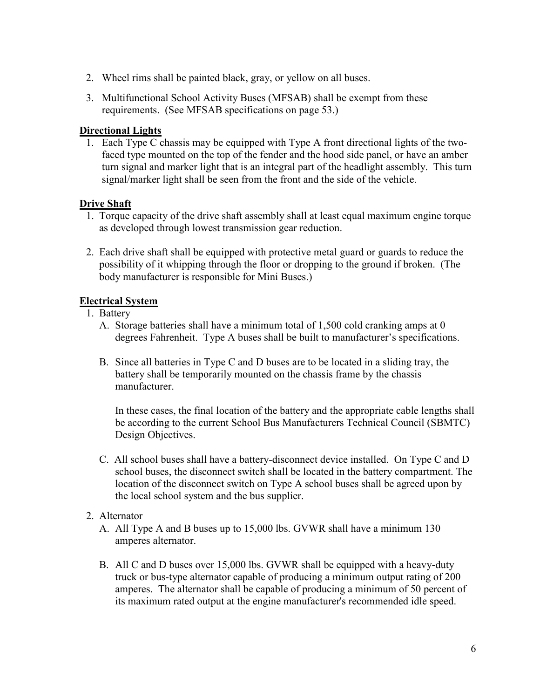- 2. Wheel rims shall be painted black, gray, or yellow on all buses.
- 3. Multifunctional School Activity Buses (MFSAB) shall be exempt from these requirements. (See MFSAB specifications on page 53.)

#### **Directional Lights**

1. Each Type C chassis may be equipped with Type A front directional lights of the twofaced type mounted on the top of the fender and the hood side panel, or have an amber turn signal and marker light that is an integral part of the headlight assembly. This turn signal/marker light shall be seen from the front and the side of the vehicle.

#### **Drive Shaft**

- 1. Torque capacity of the drive shaft assembly shall at least equal maximum engine torque as developed through lowest transmission gear reduction.
- 2. Each drive shaft shall be equipped with protective metal guard or guards to reduce the possibility of it whipping through the floor or dropping to the ground if broken. (The body manufacturer is responsible for Mini Buses.)

#### **Electrical System**

- 1. Battery
	- A. Storage batteries shall have a minimum total of 1,500 cold cranking amps at 0 degrees Fahrenheit. Type A buses shall be built to manufacturer's specifications.
	- B. Since all batteries in Type C and D buses are to be located in a sliding tray, the battery shall be temporarily mounted on the chassis frame by the chassis manufacturer.

 In these cases, the final location of the battery and the appropriate cable lengths shall be according to the current School Bus Manufacturers Technical Council (SBMTC) Design Objectives.

C. All school buses shall have a battery-disconnect device installed. On Type C and D school buses, the disconnect switch shall be located in the battery compartment. The location of the disconnect switch on Type A school buses shall be agreed upon by the local school system and the bus supplier.

#### 2. Alternator

- A. All Type A and B buses up to 15,000 lbs. GVWR shall have a minimum 130 amperes alternator.
- B. All C and D buses over 15,000 lbs. GVWR shall be equipped with a heavy-duty truck or bus-type alternator capable of producing a minimum output rating of 200 amperes. The alternator shall be capable of producing a minimum of 50 percent of its maximum rated output at the engine manufacturer's recommended idle speed.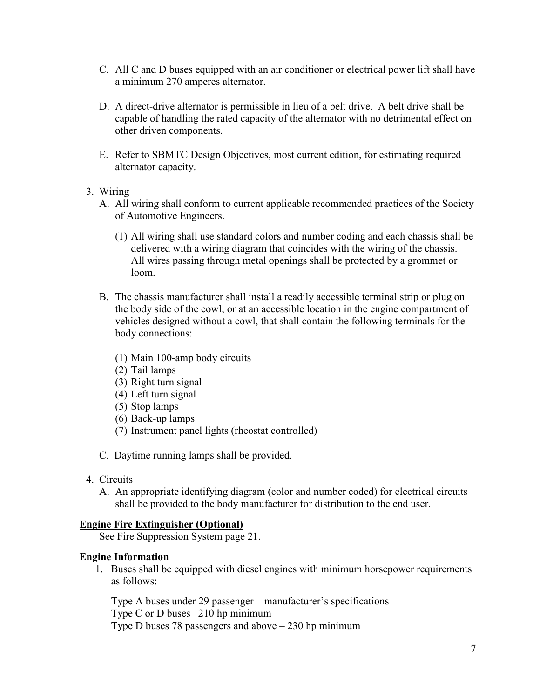- C. All C and D buses equipped with an air conditioner or electrical power lift shall have a minimum 270 amperes alternator.
- D. A direct-drive alternator is permissible in lieu of a belt drive. A belt drive shall be capable of handling the rated capacity of the alternator with no detrimental effect on other driven components.
- E. Refer to SBMTC Design Objectives, most current edition, for estimating required alternator capacity.
- 3. Wiring
	- A. All wiring shall conform to current applicable recommended practices of the Society of Automotive Engineers.
		- (1) All wiring shall use standard colors and number coding and each chassis shall be delivered with a wiring diagram that coincides with the wiring of the chassis. All wires passing through metal openings shall be protected by a grommet or loom.
	- B. The chassis manufacturer shall install a readily accessible terminal strip or plug on the body side of the cowl, or at an accessible location in the engine compartment of vehicles designed without a cowl, that shall contain the following terminals for the body connections:
		- (1) Main 100-amp body circuits
		- (2) Tail lamps
		- (3) Right turn signal
		- (4) Left turn signal
		- (5) Stop lamps
		- (6) Back-up lamps
		- (7) Instrument panel lights (rheostat controlled)
	- C. Daytime running lamps shall be provided.
- 4. Circuits
	- A. An appropriate identifying diagram (color and number coded) for electrical circuits shall be provided to the body manufacturer for distribution to the end user.

#### **Engine Fire Extinguisher (Optional)**

See Fire Suppression System page 21.

#### **Engine Information**

1. Buses shall be equipped with diesel engines with minimum horsepower requirements as follows:

Type A buses under 29 passenger – manufacturer's specifications Type C or D buses –210 hp minimum Type D buses 78 passengers and above  $-230$  hp minimum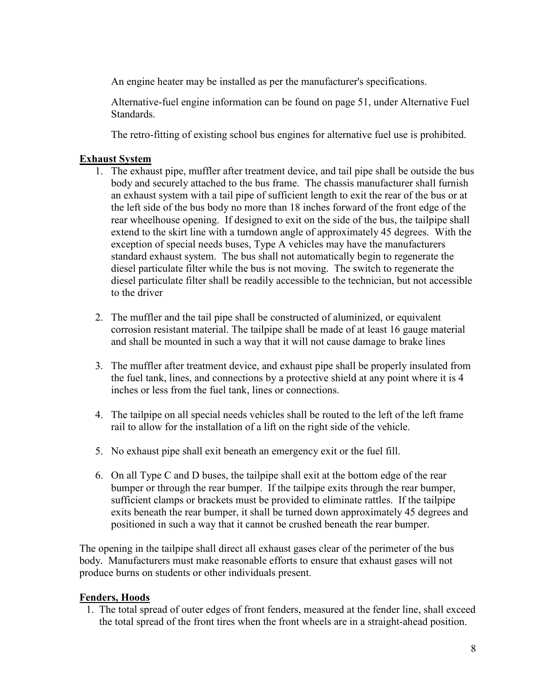An engine heater may be installed as per the manufacturer's specifications.

 Alternative-fuel engine information can be found on page 51, under Alternative Fuel **Standards** 

The retro-fitting of existing school bus engines for alternative fuel use is prohibited.

#### **Exhaust System**

- 1. The exhaust pipe, muffler after treatment device, and tail pipe shall be outside the bus body and securely attached to the bus frame. The chassis manufacturer shall furnish an exhaust system with a tail pipe of sufficient length to exit the rear of the bus or at the left side of the bus body no more than 18 inches forward of the front edge of the rear wheelhouse opening. If designed to exit on the side of the bus, the tailpipe shall extend to the skirt line with a turndown angle of approximately 45 degrees. With the exception of special needs buses, Type A vehicles may have the manufacturers standard exhaust system. The bus shall not automatically begin to regenerate the diesel particulate filter while the bus is not moving. The switch to regenerate the diesel particulate filter shall be readily accessible to the technician, but not accessible to the driver
- 2. The muffler and the tail pipe shall be constructed of aluminized, or equivalent corrosion resistant material. The tailpipe shall be made of at least 16 gauge material and shall be mounted in such a way that it will not cause damage to brake lines
- 3. The muffler after treatment device, and exhaust pipe shall be properly insulated from the fuel tank, lines, and connections by a protective shield at any point where it is 4 inches or less from the fuel tank, lines or connections.
- 4. The tailpipe on all special needs vehicles shall be routed to the left of the left frame rail to allow for the installation of a lift on the right side of the vehicle.
- 5. No exhaust pipe shall exit beneath an emergency exit or the fuel fill.
- 6. On all Type C and D buses, the tailpipe shall exit at the bottom edge of the rear bumper or through the rear bumper. If the tailpipe exits through the rear bumper, sufficient clamps or brackets must be provided to eliminate rattles. If the tailpipe exits beneath the rear bumper, it shall be turned down approximately 45 degrees and positioned in such a way that it cannot be crushed beneath the rear bumper.

The opening in the tailpipe shall direct all exhaust gases clear of the perimeter of the bus body. Manufacturers must make reasonable efforts to ensure that exhaust gases will not produce burns on students or other individuals present.

#### **Fenders, Hoods**

 1. The total spread of outer edges of front fenders, measured at the fender line, shall exceed the total spread of the front tires when the front wheels are in a straight-ahead position.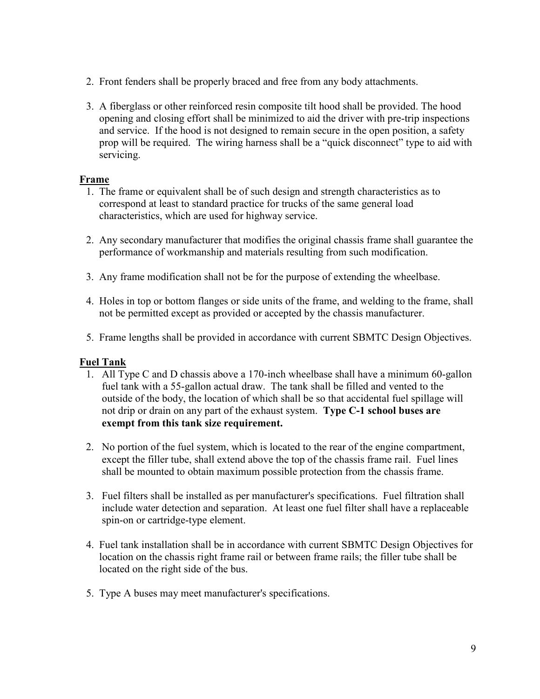- 2. Front fenders shall be properly braced and free from any body attachments.
- 3. A fiberglass or other reinforced resin composite tilt hood shall be provided. The hood opening and closing effort shall be minimized to aid the driver with pre-trip inspections and service. If the hood is not designed to remain secure in the open position, a safety prop will be required. The wiring harness shall be a "quick disconnect" type to aid with servicing.

#### **Frame**

- 1. The frame or equivalent shall be of such design and strength characteristics as to correspond at least to standard practice for trucks of the same general load characteristics, which are used for highway service.
- 2. Any secondary manufacturer that modifies the original chassis frame shall guarantee the performance of workmanship and materials resulting from such modification.
- 3. Any frame modification shall not be for the purpose of extending the wheelbase.
- 4. Holes in top or bottom flanges or side units of the frame, and welding to the frame, shall not be permitted except as provided or accepted by the chassis manufacturer.
- 5. Frame lengths shall be provided in accordance with current SBMTC Design Objectives.

#### **Fuel Tank**

- 1. All Type C and D chassis above a 170-inch wheelbase shall have a minimum 60-gallon fuel tank with a 55-gallon actual draw. The tank shall be filled and vented to the outside of the body, the location of which shall be so that accidental fuel spillage will not drip or drain on any part of the exhaust system. **Type C-1 school buses are exempt from this tank size requirement.**
- 2. No portion of the fuel system, which is located to the rear of the engine compartment, except the filler tube, shall extend above the top of the chassis frame rail. Fuel lines shall be mounted to obtain maximum possible protection from the chassis frame.
- 3. Fuel filters shall be installed as per manufacturer's specifications. Fuel filtration shall include water detection and separation. At least one fuel filter shall have a replaceable spin-on or cartridge-type element.
- 4. Fuel tank installation shall be in accordance with current SBMTC Design Objectives for location on the chassis right frame rail or between frame rails; the filler tube shall be located on the right side of the bus.
- 5. Type A buses may meet manufacturer's specifications.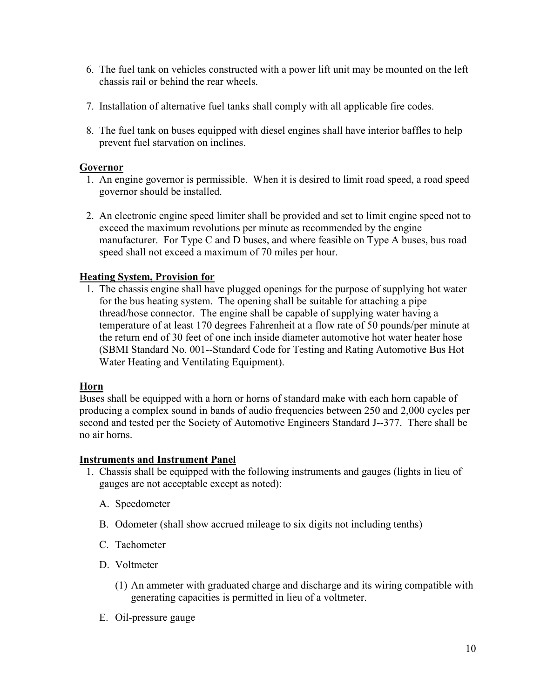- 6. The fuel tank on vehicles constructed with a power lift unit may be mounted on the left chassis rail or behind the rear wheels.
- 7. Installation of alternative fuel tanks shall comply with all applicable fire codes.
- 8. The fuel tank on buses equipped with diesel engines shall have interior baffles to help prevent fuel starvation on inclines.

#### **Governor**

- 1. An engine governor is permissible. When it is desired to limit road speed, a road speed governor should be installed.
- 2. An electronic engine speed limiter shall be provided and set to limit engine speed not to exceed the maximum revolutions per minute as recommended by the engine manufacturer. For Type C and D buses, and where feasible on Type A buses, bus road speed shall not exceed a maximum of 70 miles per hour.

#### **Heating System, Provision for**

 1. The chassis engine shall have plugged openings for the purpose of supplying hot water for the bus heating system. The opening shall be suitable for attaching a pipe thread/hose connector. The engine shall be capable of supplying water having a temperature of at least 170 degrees Fahrenheit at a flow rate of 50 pounds/per minute at the return end of 30 feet of one inch inside diameter automotive hot water heater hose (SBMI Standard No. 001--Standard Code for Testing and Rating Automotive Bus Hot Water Heating and Ventilating Equipment).

#### **Horn**

Buses shall be equipped with a horn or horns of standard make with each horn capable of producing a complex sound in bands of audio frequencies between 250 and 2,000 cycles per second and tested per the Society of Automotive Engineers Standard J--377. There shall be no air horns.

#### **Instruments and Instrument Panel**

- 1. Chassis shall be equipped with the following instruments and gauges (lights in lieu of gauges are not acceptable except as noted):
	- A. Speedometer
	- B. Odometer (shall show accrued mileage to six digits not including tenths)
	- C. Tachometer
	- D. Voltmeter
		- (1) An ammeter with graduated charge and discharge and its wiring compatible with generating capacities is permitted in lieu of a voltmeter.
	- E. Oil-pressure gauge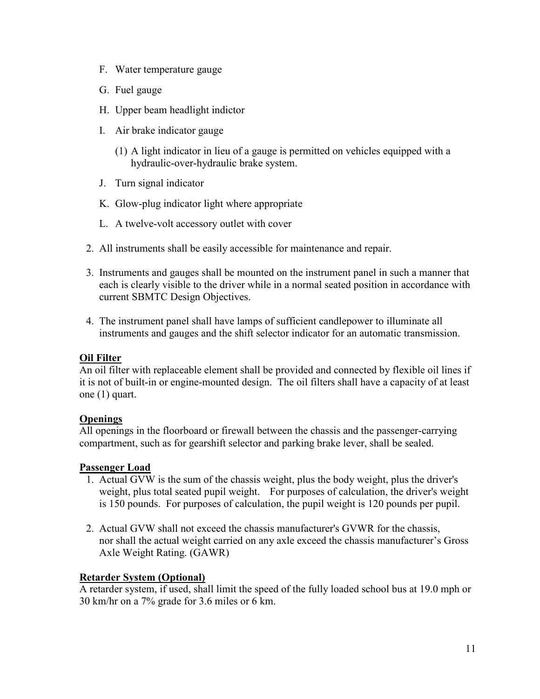- F. Water temperature gauge
- G. Fuel gauge
- H. Upper beam headlight indictor
- I. Air brake indicator gauge
	- (1) A light indicator in lieu of a gauge is permitted on vehicles equipped with a hydraulic-over-hydraulic brake system.
- J. Turn signal indicator
- K. Glow-plug indicator light where appropriate
- L. A twelve-volt accessory outlet with cover
- 2. All instruments shall be easily accessible for maintenance and repair.
- 3. Instruments and gauges shall be mounted on the instrument panel in such a manner that each is clearly visible to the driver while in a normal seated position in accordance with current SBMTC Design Objectives.
- 4. The instrument panel shall have lamps of sufficient candlepower to illuminate all instruments and gauges and the shift selector indicator for an automatic transmission.

#### **Oil Filter**

An oil filter with replaceable element shall be provided and connected by flexible oil lines if it is not of built-in or engine-mounted design. The oil filters shall have a capacity of at least one (1) quart.

#### **Openings**

All openings in the floorboard or firewall between the chassis and the passenger-carrying compartment, such as for gearshift selector and parking brake lever, shall be sealed.

#### **Passenger Load**

- 1. Actual GVW is the sum of the chassis weight, plus the body weight, plus the driver's weight, plus total seated pupil weight. For purposes of calculation, the driver's weight is 150 pounds. For purposes of calculation, the pupil weight is 120 pounds per pupil.
- 2. Actual GVW shall not exceed the chassis manufacturer's GVWR for the chassis, nor shall the actual weight carried on any axle exceed the chassis manufacturer's Gross Axle Weight Rating. (GAWR)

#### **Retarder System (Optional)**

A retarder system, if used, shall limit the speed of the fully loaded school bus at 19.0 mph or 30 km/hr on a 7% grade for 3.6 miles or 6 km.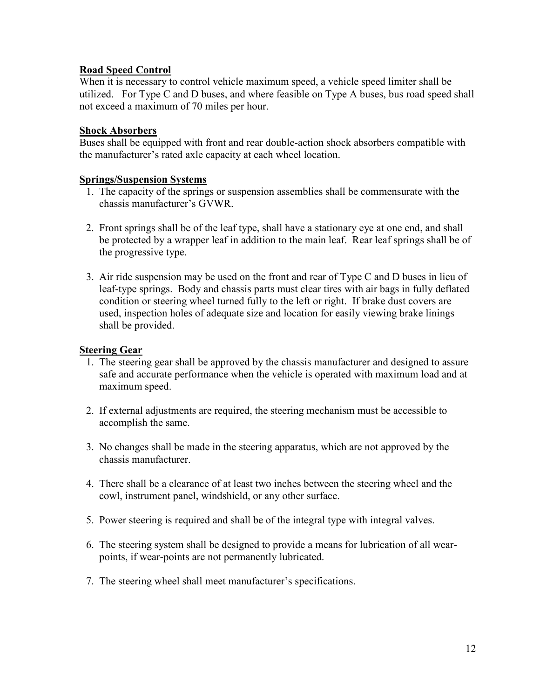#### **Road Speed Control**

When it is necessary to control vehicle maximum speed, a vehicle speed limiter shall be utilized. For Type C and D buses, and where feasible on Type A buses, bus road speed shall not exceed a maximum of 70 miles per hour.

#### **Shock Absorbers**

Buses shall be equipped with front and rear double-action shock absorbers compatible with the manufacturer's rated axle capacity at each wheel location.

#### **Springs/Suspension Systems**

- 1. The capacity of the springs or suspension assemblies shall be commensurate with the chassis manufacturer's GVWR.
- 2. Front springs shall be of the leaf type, shall have a stationary eye at one end, and shall be protected by a wrapper leaf in addition to the main leaf. Rear leaf springs shall be of the progressive type.
- 3. Air ride suspension may be used on the front and rear of Type C and D buses in lieu of leaf-type springs. Body and chassis parts must clear tires with air bags in fully deflated condition or steering wheel turned fully to the left or right. If brake dust covers are used, inspection holes of adequate size and location for easily viewing brake linings shall be provided.

#### **Steering Gear**

- 1. The steering gear shall be approved by the chassis manufacturer and designed to assure safe and accurate performance when the vehicle is operated with maximum load and at maximum speed.
- 2. If external adjustments are required, the steering mechanism must be accessible to accomplish the same.
- 3. No changes shall be made in the steering apparatus, which are not approved by the chassis manufacturer.
- 4. There shall be a clearance of at least two inches between the steering wheel and the cowl, instrument panel, windshield, or any other surface.
- 5. Power steering is required and shall be of the integral type with integral valves.
- 6. The steering system shall be designed to provide a means for lubrication of all wearpoints, if wear-points are not permanently lubricated.
- 7. The steering wheel shall meet manufacturer's specifications.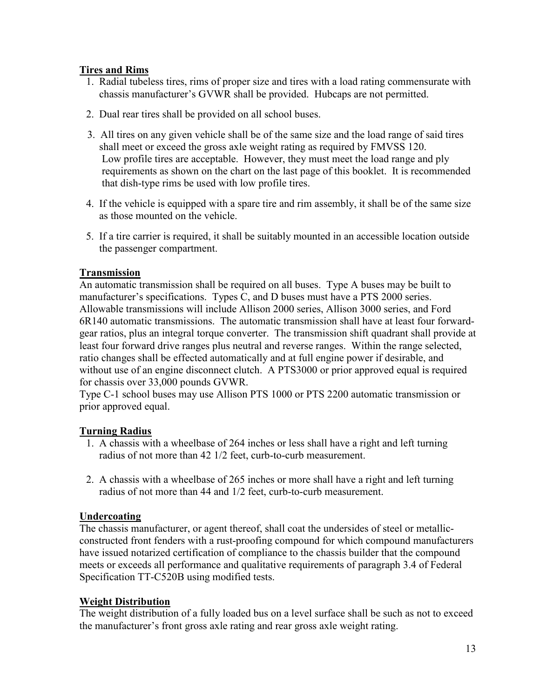#### **Tires and Rims**

- 1. Radial tubeless tires, rims of proper size and tires with a load rating commensurate with chassis manufacturer's GVWR shall be provided. Hubcaps are not permitted.
- 2. Dual rear tires shall be provided on all school buses.
- 3. All tires on any given vehicle shall be of the same size and the load range of said tires shall meet or exceed the gross axle weight rating as required by FMVSS 120. Low profile tires are acceptable. However, they must meet the load range and ply requirements as shown on the chart on the last page of this booklet. It is recommended that dish-type rims be used with low profile tires.
- 4. If the vehicle is equipped with a spare tire and rim assembly, it shall be of the same size as those mounted on the vehicle.
- 5. If a tire carrier is required, it shall be suitably mounted in an accessible location outside the passenger compartment.

#### **Transmission**

An automatic transmission shall be required on all buses. Type A buses may be built to manufacturer's specifications. Types C, and D buses must have a PTS 2000 series. Allowable transmissions will include Allison 2000 series, Allison 3000 series, and Ford 6R140 automatic transmissions. The automatic transmission shall have at least four forwardgear ratios, plus an integral torque converter. The transmission shift quadrant shall provide at least four forward drive ranges plus neutral and reverse ranges. Within the range selected, ratio changes shall be effected automatically and at full engine power if desirable, and without use of an engine disconnect clutch. A PTS3000 or prior approved equal is required for chassis over 33,000 pounds GVWR.

Type C-1 school buses may use Allison PTS 1000 or PTS 2200 automatic transmission or prior approved equal.

#### **Turning Radius**

- 1. A chassis with a wheelbase of 264 inches or less shall have a right and left turning radius of not more than 42 1/2 feet, curb-to-curb measurement.
- 2. A chassis with a wheelbase of 265 inches or more shall have a right and left turning radius of not more than 44 and 1/2 feet, curb-to-curb measurement.

#### **Undercoating**

The chassis manufacturer, or agent thereof, shall coat the undersides of steel or metallicconstructed front fenders with a rust-proofing compound for which compound manufacturers have issued notarized certification of compliance to the chassis builder that the compound meets or exceeds all performance and qualitative requirements of paragraph 3.4 of Federal Specification TT-C520B using modified tests.

#### **Weight Distribution**

The weight distribution of a fully loaded bus on a level surface shall be such as not to exceed the manufacturer's front gross axle rating and rear gross axle weight rating.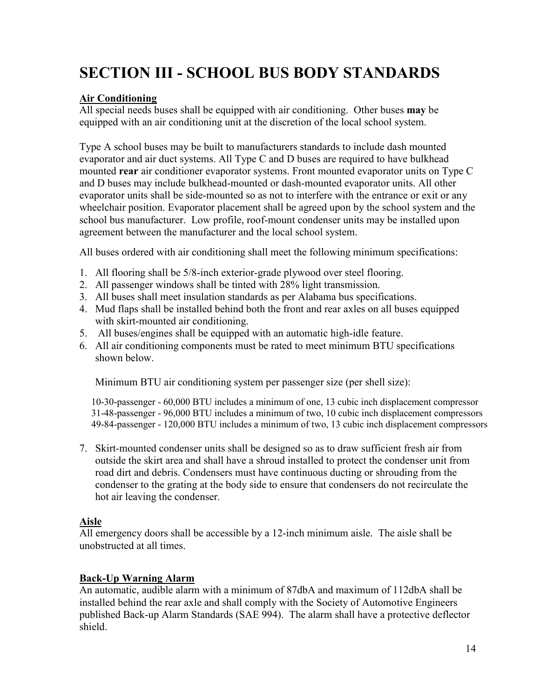# **SECTION III - SCHOOL BUS BODY STANDARDS**

#### **Air Conditioning**

All special needs buses shall be equipped with air conditioning. Other buses **may** be equipped with an air conditioning unit at the discretion of the local school system.

Type A school buses may be built to manufacturers standards to include dash mounted evaporator and air duct systems. All Type C and D buses are required to have bulkhead mounted **rear** air conditioner evaporator systems. Front mounted evaporator units on Type C and D buses may include bulkhead-mounted or dash-mounted evaporator units. All other evaporator units shall be side-mounted so as not to interfere with the entrance or exit or any wheelchair position. Evaporator placement shall be agreed upon by the school system and the school bus manufacturer. Low profile, roof-mount condenser units may be installed upon agreement between the manufacturer and the local school system.

All buses ordered with air conditioning shall meet the following minimum specifications:

- 1. All flooring shall be 5/8-inch exterior-grade plywood over steel flooring.
- 2. All passenger windows shall be tinted with 28% light transmission.
- 3. All buses shall meet insulation standards as per Alabama bus specifications.
- 4. Mud flaps shall be installed behind both the front and rear axles on all buses equipped with skirt-mounted air conditioning.
- 5. All buses/engines shall be equipped with an automatic high-idle feature.
- 6. All air conditioning components must be rated to meet minimum BTU specifications shown below.

Minimum BTU air conditioning system per passenger size (per shell size):

10-30-passenger - 60,000 BTU includes a minimum of one, 13 cubic inch displacement compressor 31-48-passenger - 96,000 BTU includes a minimum of two, 10 cubic inch displacement compressors 49-84-passenger - 120,000 BTU includes a minimum of two, 13 cubic inch displacement compressors

7. Skirt-mounted condenser units shall be designed so as to draw sufficient fresh air from outside the skirt area and shall have a shroud installed to protect the condenser unit from road dirt and debris. Condensers must have continuous ducting or shrouding from the condenser to the grating at the body side to ensure that condensers do not recirculate the hot air leaving the condenser.

#### **Aisle**

All emergency doors shall be accessible by a 12-inch minimum aisle. The aisle shall be unobstructed at all times.

#### **Back-Up Warning Alarm**

An automatic, audible alarm with a minimum of 87dbA and maximum of 112dbA shall be installed behind the rear axle and shall comply with the Society of Automotive Engineers published Back-up Alarm Standards (SAE 994). The alarm shall have a protective deflector shield.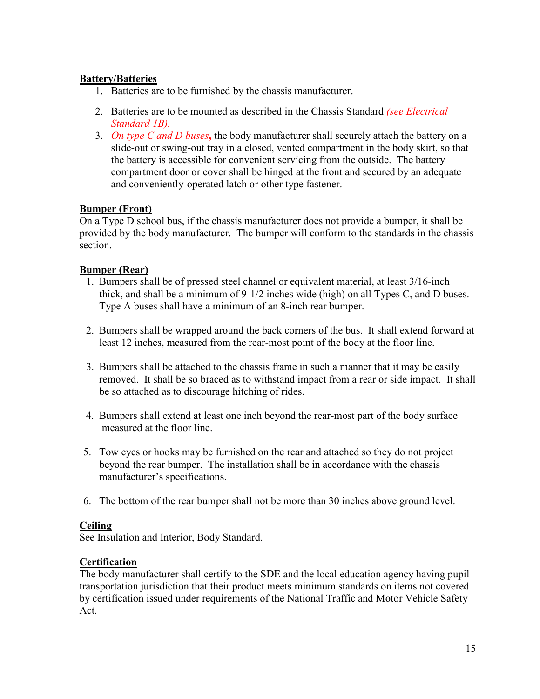#### **Battery/Batteries**

- 1. Batteries are to be furnished by the chassis manufacturer.
- 2. Batteries are to be mounted as described in the Chassis Standard *(see Electrical Standard 1B).*
- 3. *On type C and D buses***,** the body manufacturer shall securely attach the battery on a slide-out or swing-out tray in a closed, vented compartment in the body skirt, so that the battery is accessible for convenient servicing from the outside. The battery compartment door or cover shall be hinged at the front and secured by an adequate and conveniently-operated latch or other type fastener.

#### **Bumper (Front)**

On a Type D school bus, if the chassis manufacturer does not provide a bumper, it shall be provided by the body manufacturer. The bumper will conform to the standards in the chassis section.

#### **Bumper (Rear)**

- 1. Bumpers shall be of pressed steel channel or equivalent material, at least 3/16-inch thick, and shall be a minimum of 9-1/2 inches wide (high) on all Types C, and D buses. Type A buses shall have a minimum of an 8-inch rear bumper.
- 2. Bumpers shall be wrapped around the back corners of the bus. It shall extend forward at least 12 inches, measured from the rear-most point of the body at the floor line.
- 3. Bumpers shall be attached to the chassis frame in such a manner that it may be easily removed. It shall be so braced as to withstand impact from a rear or side impact. It shall be so attached as to discourage hitching of rides.
- 4. Bumpers shall extend at least one inch beyond the rear-most part of the body surface measured at the floor line.
- 5. Tow eyes or hooks may be furnished on the rear and attached so they do not project beyond the rear bumper. The installation shall be in accordance with the chassis manufacturer's specifications.
- 6. The bottom of the rear bumper shall not be more than 30 inches above ground level.

#### **Ceiling**

See Insulation and Interior, Body Standard.

#### **Certification**

The body manufacturer shall certify to the SDE and the local education agency having pupil transportation jurisdiction that their product meets minimum standards on items not covered by certification issued under requirements of the National Traffic and Motor Vehicle Safety Act.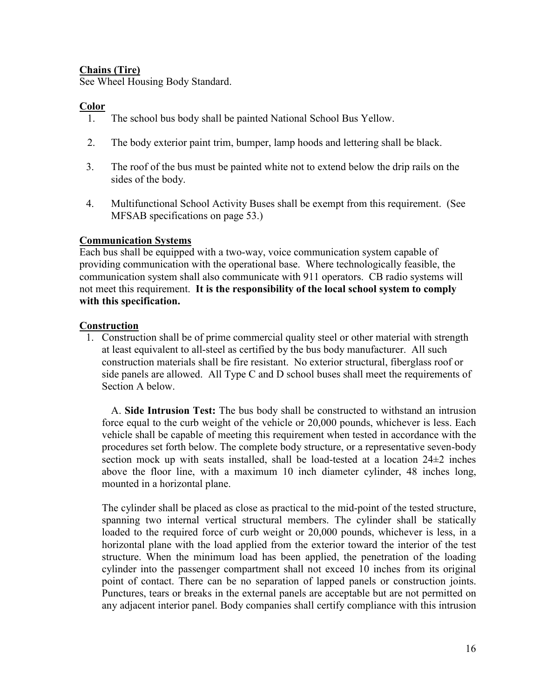#### **Chains (Tire)**

See Wheel Housing Body Standard.

#### **Color**

- 1. The school bus body shall be painted National School Bus Yellow.
- 2. The body exterior paint trim, bumper, lamp hoods and lettering shall be black.
- 3. The roof of the bus must be painted white not to extend below the drip rails on the sides of the body.
- 4. Multifunctional School Activity Buses shall be exempt from this requirement. (See MFSAB specifications on page 53.)

#### **Communication Systems**

Each bus shall be equipped with a two-way, voice communication system capable of providing communication with the operational base. Where technologically feasible, the communication system shall also communicate with 911 operators. CB radio systems will not meet this requirement. **It is the responsibility of the local school system to comply with this specification.** 

#### **Construction**

1. Construction shall be of prime commercial quality steel or other material with strength at least equivalent to all-steel as certified by the bus body manufacturer. All such construction materials shall be fire resistant. No exterior structural, fiberglass roof or side panels are allowed. All Type C and D school buses shall meet the requirements of Section A below.

 A. **Side Intrusion Test:** The bus body shall be constructed to withstand an intrusion force equal to the curb weight of the vehicle or 20,000 pounds, whichever is less. Each vehicle shall be capable of meeting this requirement when tested in accordance with the procedures set forth below. The complete body structure, or a representative seven-body section mock up with seats installed, shall be load-tested at a location 24±2 inches above the floor line, with a maximum 10 inch diameter cylinder, 48 inches long, mounted in a horizontal plane.

The cylinder shall be placed as close as practical to the mid-point of the tested structure, spanning two internal vertical structural members. The cylinder shall be statically loaded to the required force of curb weight or 20,000 pounds, whichever is less, in a horizontal plane with the load applied from the exterior toward the interior of the test structure. When the minimum load has been applied, the penetration of the loading cylinder into the passenger compartment shall not exceed 10 inches from its original point of contact. There can be no separation of lapped panels or construction joints. Punctures, tears or breaks in the external panels are acceptable but are not permitted on any adjacent interior panel. Body companies shall certify compliance with this intrusion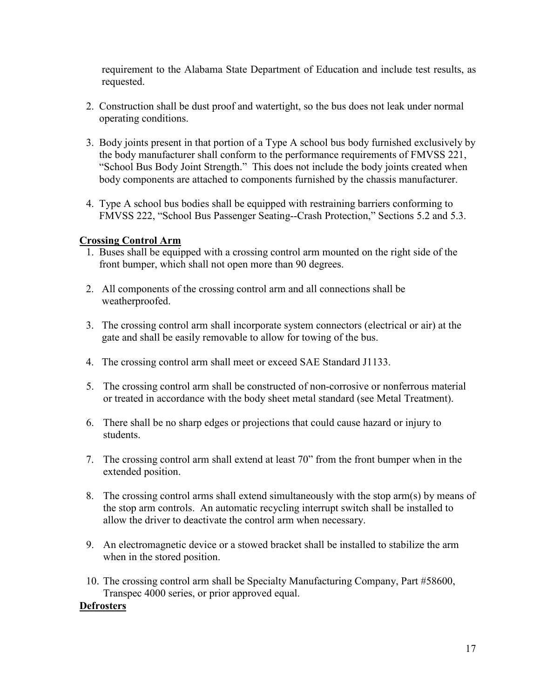requirement to the Alabama State Department of Education and include test results, as requested.

- 2. Construction shall be dust proof and watertight, so the bus does not leak under normal operating conditions.
- 3. Body joints present in that portion of a Type A school bus body furnished exclusively by the body manufacturer shall conform to the performance requirements of FMVSS 221, "School Bus Body Joint Strength." This does not include the body joints created when body components are attached to components furnished by the chassis manufacturer.
- 4. Type A school bus bodies shall be equipped with restraining barriers conforming to FMVSS 222, "School Bus Passenger Seating--Crash Protection," Sections 5.2 and 5.3.

#### **Crossing Control Arm**

- 1. Buses shall be equipped with a crossing control arm mounted on the right side of the front bumper, which shall not open more than 90 degrees.
- 2. All components of the crossing control arm and all connections shall be weatherproofed.
- 3. The crossing control arm shall incorporate system connectors (electrical or air) at the gate and shall be easily removable to allow for towing of the bus.
- 4. The crossing control arm shall meet or exceed SAE Standard J1133.
- 5. The crossing control arm shall be constructed of non-corrosive or nonferrous material or treated in accordance with the body sheet metal standard (see Metal Treatment).
- 6. There shall be no sharp edges or projections that could cause hazard or injury to students.
- 7. The crossing control arm shall extend at least 70" from the front bumper when in the extended position.
- 8. The crossing control arms shall extend simultaneously with the stop arm(s) by means of the stop arm controls. An automatic recycling interrupt switch shall be installed to allow the driver to deactivate the control arm when necessary.
- 9. An electromagnetic device or a stowed bracket shall be installed to stabilize the arm when in the stored position.
- 10. The crossing control arm shall be Specialty Manufacturing Company, Part #58600, Transpec 4000 series, or prior approved equal.

#### **Defrosters**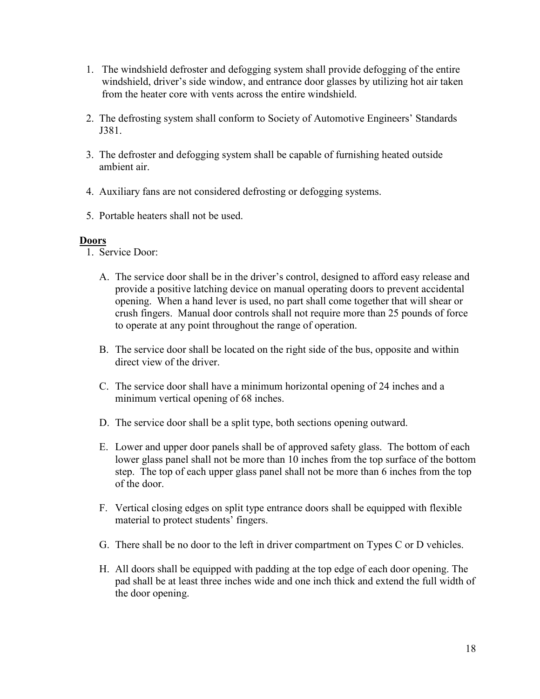- 1. The windshield defroster and defogging system shall provide defogging of the entire windshield, driver's side window, and entrance door glasses by utilizing hot air taken from the heater core with vents across the entire windshield.
- 2. The defrosting system shall conform to Society of Automotive Engineers' Standards J381.
- 3. The defroster and defogging system shall be capable of furnishing heated outside ambient air.
- 4. Auxiliary fans are not considered defrosting or defogging systems.
- 5. Portable heaters shall not be used.

#### **Doors**

- 1. Service Door:
	- A. The service door shall be in the driver's control, designed to afford easy release and provide a positive latching device on manual operating doors to prevent accidental opening. When a hand lever is used, no part shall come together that will shear or crush fingers. Manual door controls shall not require more than 25 pounds of force to operate at any point throughout the range of operation.
	- B. The service door shall be located on the right side of the bus, opposite and within direct view of the driver.
	- C. The service door shall have a minimum horizontal opening of 24 inches and a minimum vertical opening of 68 inches.
	- D. The service door shall be a split type, both sections opening outward.
	- E. Lower and upper door panels shall be of approved safety glass. The bottom of each lower glass panel shall not be more than 10 inches from the top surface of the bottom step. The top of each upper glass panel shall not be more than 6 inches from the top of the door.
	- F. Vertical closing edges on split type entrance doors shall be equipped with flexible material to protect students' fingers.
	- G. There shall be no door to the left in driver compartment on Types C or D vehicles.
	- H. All doors shall be equipped with padding at the top edge of each door opening. The pad shall be at least three inches wide and one inch thick and extend the full width of the door opening.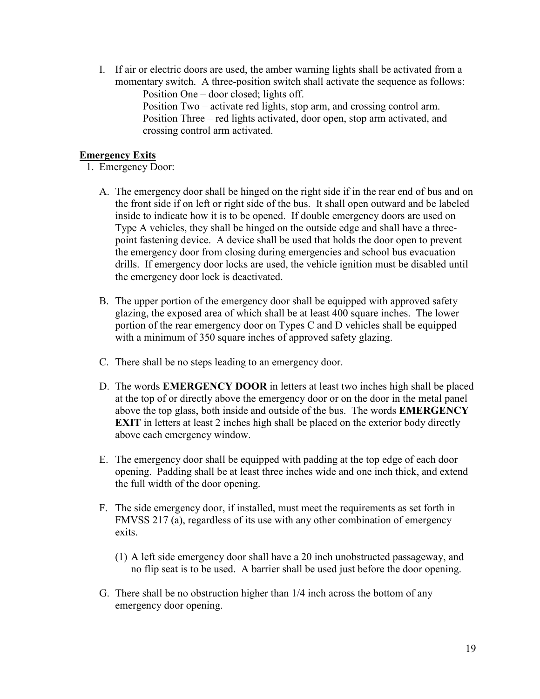I. If air or electric doors are used, the amber warning lights shall be activated from a momentary switch. A three-position switch shall activate the sequence as follows: Position One – door closed; lights off.

Position Two – activate red lights, stop arm, and crossing control arm. Position Three – red lights activated, door open, stop arm activated, and crossing control arm activated.

#### **Emergency Exits**

- 1. Emergency Door:
	- A. The emergency door shall be hinged on the right side if in the rear end of bus and on the front side if on left or right side of the bus. It shall open outward and be labeled inside to indicate how it is to be opened. If double emergency doors are used on Type A vehicles, they shall be hinged on the outside edge and shall have a threepoint fastening device. A device shall be used that holds the door open to prevent the emergency door from closing during emergencies and school bus evacuation drills. If emergency door locks are used, the vehicle ignition must be disabled until the emergency door lock is deactivated.
	- B. The upper portion of the emergency door shall be equipped with approved safety glazing, the exposed area of which shall be at least 400 square inches. The lower portion of the rear emergency door on Types C and D vehicles shall be equipped with a minimum of 350 square inches of approved safety glazing.
	- C. There shall be no steps leading to an emergency door.
	- D. The words **EMERGENCY DOOR** in letters at least two inches high shall be placed at the top of or directly above the emergency door or on the door in the metal panel above the top glass, both inside and outside of the bus. The words **EMERGENCY EXIT** in letters at least 2 inches high shall be placed on the exterior body directly above each emergency window.
	- E. The emergency door shall be equipped with padding at the top edge of each door opening. Padding shall be at least three inches wide and one inch thick, and extend the full width of the door opening.
	- F. The side emergency door, if installed, must meet the requirements as set forth in FMVSS 217 (a), regardless of its use with any other combination of emergency exits.
		- (1) A left side emergency door shall have a 20 inch unobstructed passageway, and no flip seat is to be used. A barrier shall be used just before the door opening.
	- G. There shall be no obstruction higher than 1/4 inch across the bottom of any emergency door opening.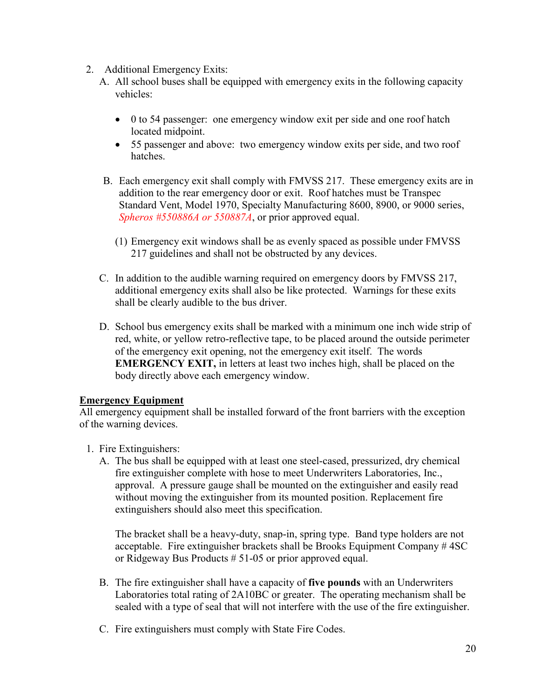- 2. Additional Emergency Exits:
	- A. All school buses shall be equipped with emergency exits in the following capacity vehicles:
		- 0 to 54 passenger: one emergency window exit per side and one roof hatch located midpoint.
		- 55 passenger and above: two emergency window exits per side, and two roof hatches.
	- B. Each emergency exit shall comply with FMVSS 217. These emergency exits are in addition to the rear emergency door or exit. Roof hatches must be Transpec Standard Vent, Model 1970, Specialty Manufacturing 8600, 8900, or 9000 series, *Spheros #550886A or 550887A*, or prior approved equal.
		- (1) Emergency exit windows shall be as evenly spaced as possible under FMVSS 217 guidelines and shall not be obstructed by any devices.
	- C. In addition to the audible warning required on emergency doors by FMVSS 217, additional emergency exits shall also be like protected. Warnings for these exits shall be clearly audible to the bus driver.
	- D. School bus emergency exits shall be marked with a minimum one inch wide strip of red, white, or yellow retro-reflective tape, to be placed around the outside perimeter of the emergency exit opening, not the emergency exit itself. The words **EMERGENCY EXIT,** in letters at least two inches high, shall be placed on the body directly above each emergency window.

#### **Emergency Equipment**

All emergency equipment shall be installed forward of the front barriers with the exception of the warning devices.

- 1. Fire Extinguishers:
	- A. The bus shall be equipped with at least one steel-cased, pressurized, dry chemical fire extinguisher complete with hose to meet Underwriters Laboratories, Inc., approval. A pressure gauge shall be mounted on the extinguisher and easily read without moving the extinguisher from its mounted position. Replacement fire extinguishers should also meet this specification.

The bracket shall be a heavy-duty, snap-in, spring type. Band type holders are not acceptable. Fire extinguisher brackets shall be Brooks Equipment Company # 4SC or Ridgeway Bus Products # 51-05 or prior approved equal.

- B. The fire extinguisher shall have a capacity of **five pounds** with an Underwriters Laboratories total rating of 2A10BC or greater. The operating mechanism shall be sealed with a type of seal that will not interfere with the use of the fire extinguisher.
- C. Fire extinguishers must comply with State Fire Codes.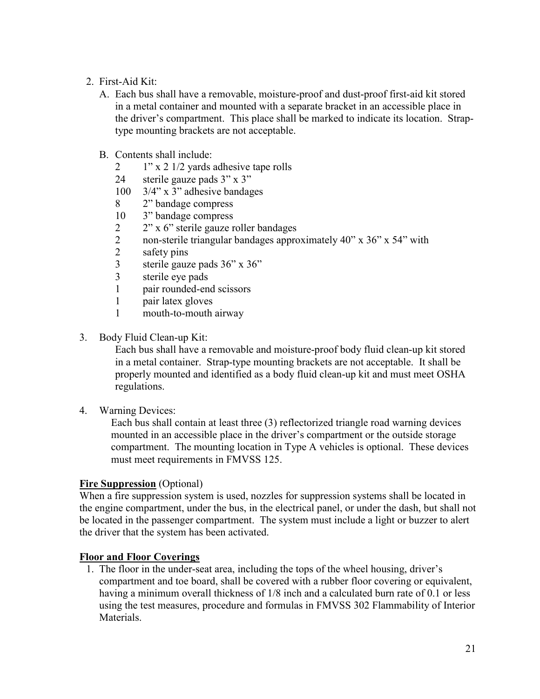- 2. First-Aid Kit:
	- A. Each bus shall have a removable, moisture-proof and dust-proof first-aid kit stored in a metal container and mounted with a separate bracket in an accessible place in the driver's compartment. This place shall be marked to indicate its location. Straptype mounting brackets are not acceptable.
	- B. Contents shall include:
		- 2 1" x 2 1/2 yards adhesive tape rolls
		- 24 sterile gauze pads 3" x 3"
		- 100 3/4" x 3" adhesive bandages
		- 8 2" bandage compress
		- 10 3" bandage compress
		- 2 2" x 6" sterile gauze roller bandages
		- 2 non-sterile triangular bandages approximately 40" x 36" x 54" with
		- 2 safety pins
		- 3 sterile gauze pads 36" x 36"
		- 3 sterile eye pads
		- 1 pair rounded-end scissors
		- 1 pair latex gloves
		- 1 mouth-to-mouth airway
- 3. Body Fluid Clean-up Kit:

 Each bus shall have a removable and moisture-proof body fluid clean-up kit stored in a metal container. Strap-type mounting brackets are not acceptable. It shall be properly mounted and identified as a body fluid clean-up kit and must meet OSHA regulations.

4. Warning Devices:

Each bus shall contain at least three (3) reflectorized triangle road warning devices mounted in an accessible place in the driver's compartment or the outside storage compartment. The mounting location in Type A vehicles is optional. These devices must meet requirements in FMVSS 125.

#### **Fire Suppression** (Optional)

When a fire suppression system is used, nozzles for suppression systems shall be located in the engine compartment, under the bus, in the electrical panel, or under the dash, but shall not be located in the passenger compartment. The system must include a light or buzzer to alert the driver that the system has been activated.

#### **Floor and Floor Coverings**

 1. The floor in the under-seat area, including the tops of the wheel housing, driver's compartment and toe board, shall be covered with a rubber floor covering or equivalent, having a minimum overall thickness of 1/8 inch and a calculated burn rate of 0.1 or less using the test measures, procedure and formulas in FMVSS 302 Flammability of Interior Materials.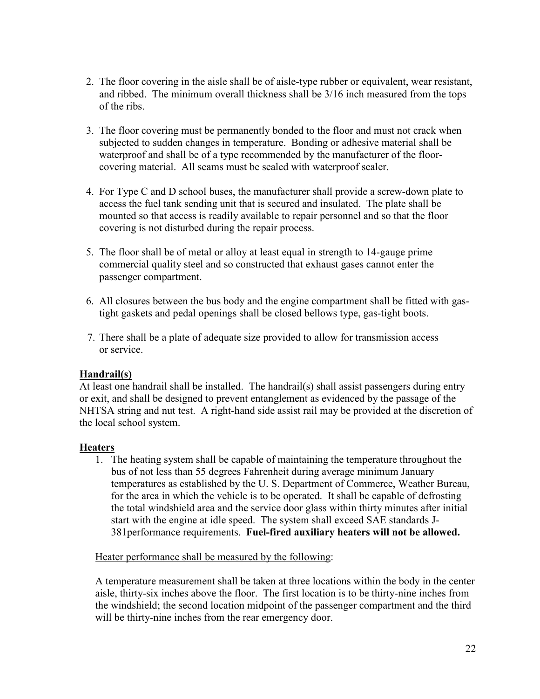- 2. The floor covering in the aisle shall be of aisle-type rubber or equivalent, wear resistant, and ribbed. The minimum overall thickness shall be 3/16 inch measured from the tops of the ribs.
- 3. The floor covering must be permanently bonded to the floor and must not crack when subjected to sudden changes in temperature. Bonding or adhesive material shall be waterproof and shall be of a type recommended by the manufacturer of the floorcovering material. All seams must be sealed with waterproof sealer.
- 4. For Type C and D school buses, the manufacturer shall provide a screw-down plate to access the fuel tank sending unit that is secured and insulated. The plate shall be mounted so that access is readily available to repair personnel and so that the floor covering is not disturbed during the repair process.
- 5. The floor shall be of metal or alloy at least equal in strength to 14-gauge prime commercial quality steel and so constructed that exhaust gases cannot enter the passenger compartment.
- 6. All closures between the bus body and the engine compartment shall be fitted with gastight gaskets and pedal openings shall be closed bellows type, gas-tight boots.
- 7. There shall be a plate of adequate size provided to allow for transmission access or service.

#### **Handrail(s)**

At least one handrail shall be installed. The handrail(s) shall assist passengers during entry or exit, and shall be designed to prevent entanglement as evidenced by the passage of the NHTSA string and nut test. A right-hand side assist rail may be provided at the discretion of the local school system.

#### **Heaters**

1. The heating system shall be capable of maintaining the temperature throughout the bus of not less than 55 degrees Fahrenheit during average minimum January temperatures as established by the U. S. Department of Commerce, Weather Bureau, for the area in which the vehicle is to be operated. It shall be capable of defrosting the total windshield area and the service door glass within thirty minutes after initial start with the engine at idle speed. The system shall exceed SAE standards J-381performance requirements. **Fuel-fired auxiliary heaters will not be allowed.**

#### Heater performance shall be measured by the following:

A temperature measurement shall be taken at three locations within the body in the center aisle, thirty-six inches above the floor. The first location is to be thirty-nine inches from the windshield; the second location midpoint of the passenger compartment and the third will be thirty-nine inches from the rear emergency door.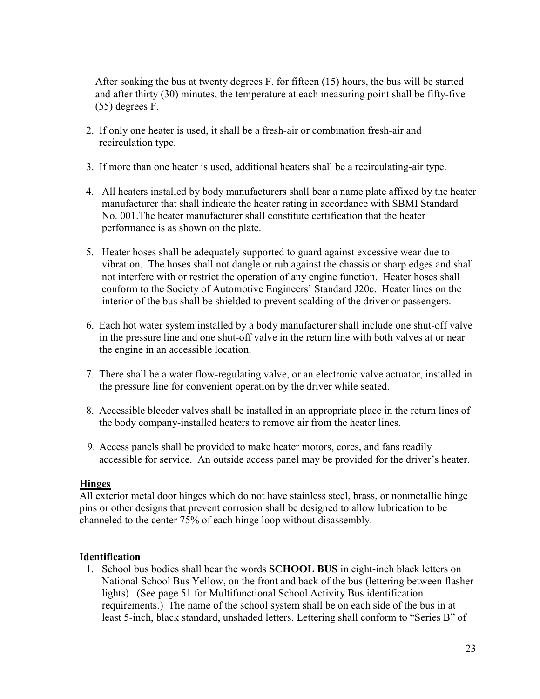After soaking the bus at twenty degrees F. for fifteen (15) hours, the bus will be started and after thirty (30) minutes, the temperature at each measuring point shall be fifty-five (55) degrees F.

- 2. If only one heater is used, it shall be a fresh-air or combination fresh-air and recirculation type.
- 3. If more than one heater is used, additional heaters shall be a recirculating-air type.
- 4. All heaters installed by body manufacturers shall bear a name plate affixed by the heater manufacturer that shall indicate the heater rating in accordance with SBMI Standard No. 001.The heater manufacturer shall constitute certification that the heater performance is as shown on the plate.
- 5. Heater hoses shall be adequately supported to guard against excessive wear due to vibration. The hoses shall not dangle or rub against the chassis or sharp edges and shall not interfere with or restrict the operation of any engine function. Heater hoses shall conform to the Society of Automotive Engineers' Standard J20c. Heater lines on the interior of the bus shall be shielded to prevent scalding of the driver or passengers.
- 6. Each hot water system installed by a body manufacturer shall include one shut-off valve in the pressure line and one shut-off valve in the return line with both valves at or near the engine in an accessible location.
- 7. There shall be a water flow-regulating valve, or an electronic valve actuator, installed in the pressure line for convenient operation by the driver while seated.
- 8. Accessible bleeder valves shall be installed in an appropriate place in the return lines of the body company-installed heaters to remove air from the heater lines.
- 9. Access panels shall be provided to make heater motors, cores, and fans readily accessible for service. An outside access panel may be provided for the driver's heater.

#### **Hinges**

All exterior metal door hinges which do not have stainless steel, brass, or nonmetallic hinge pins or other designs that prevent corrosion shall be designed to allow lubrication to be channeled to the center 75% of each hinge loop without disassembly.

#### **Identification**

1. School bus bodies shall bear the words **SCHOOL BUS** in eight-inch black letters on National School Bus Yellow, on the front and back of the bus (lettering between flasher lights). (See page 51 for Multifunctional School Activity Bus identification requirements.) The name of the school system shall be on each side of the bus in at least 5-inch, black standard, unshaded letters. Lettering shall conform to "Series B" of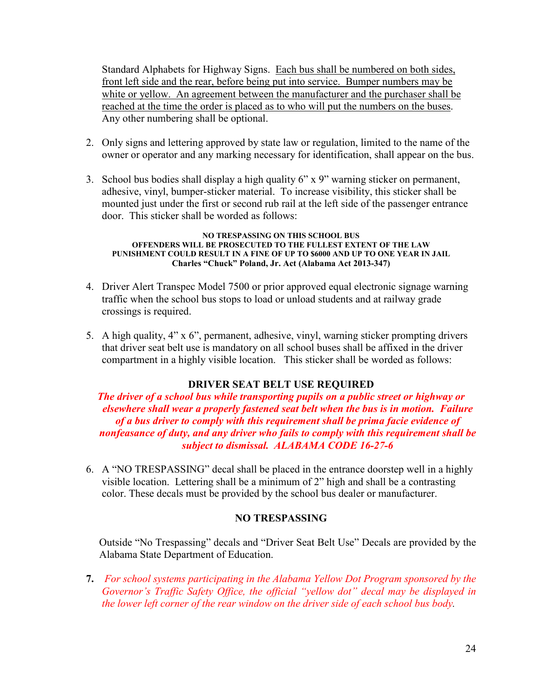Standard Alphabets for Highway Signs. Each bus shall be numbered on both sides, front left side and the rear, before being put into service. Bumper numbers may be white or yellow. An agreement between the manufacturer and the purchaser shall be reached at the time the order is placed as to who will put the numbers on the buses. Any other numbering shall be optional.

- 2. Only signs and lettering approved by state law or regulation, limited to the name of the owner or operator and any marking necessary for identification, shall appear on the bus.
- 3. School bus bodies shall display a high quality 6" x 9" warning sticker on permanent, adhesive, vinyl, bumper-sticker material. To increase visibility, this sticker shall be mounted just under the first or second rub rail at the left side of the passenger entrance door. This sticker shall be worded as follows:

#### **NO TRESPASSING ON THIS SCHOOL BUS OFFENDERS WILL BE PROSECUTED TO THE FULLEST EXTENT OF THE LAW PUNISHMENT COULD RESULT IN A FINE OF UP TO \$6000 AND UP TO ONE YEAR IN JAIL Charles "Chuck" Poland, Jr. Act (Alabama Act 2013-347)**

- 4. Driver Alert Transpec Model 7500 or prior approved equal electronic signage warning traffic when the school bus stops to load or unload students and at railway grade crossings is required.
- 5. A high quality, 4" x 6", permanent, adhesive, vinyl, warning sticker prompting drivers that driver seat belt use is mandatory on all school buses shall be affixed in the driver compartment in a highly visible location. This sticker shall be worded as follows:

#### **DRIVER SEAT BELT USE REQUIRED**

*The driver of a school bus while transporting pupils on a public street or highway or elsewhere shall wear a properly fastened seat belt when the bus is in motion. Failure of a bus driver to comply with this requirement shall be prima facie evidence of nonfeasance of duty, and any driver who fails to comply with this requirement shall be subject to dismissal. ALABAMA CODE 16-27-6* 

6. A "NO TRESPASSING" decal shall be placed in the entrance doorstep well in a highly visible location. Lettering shall be a minimum of 2" high and shall be a contrasting color. These decals must be provided by the school bus dealer or manufacturer.

#### **NO TRESPASSING**

Outside "No Trespassing" decals and "Driver Seat Belt Use" Decals are provided by the Alabama State Department of Education.

**7.** *For school systems participating in the Alabama Yellow Dot Program sponsored by the Governor's Traffic Safety Office, the official "yellow dot" decal may be displayed in the lower left corner of the rear window on the driver side of each school bus body.*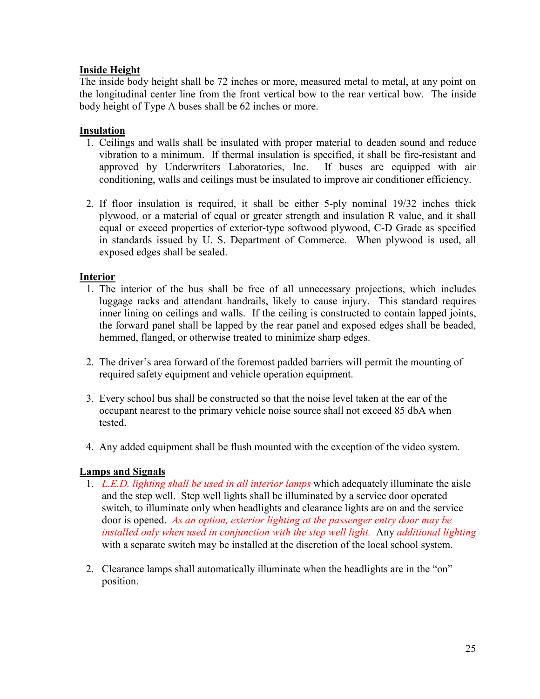#### **Inside Height**

The inside body height shall be 72 inches or more, measured metal to metal, at any point on the longitudinal center line from the front vertical bow to the rear vertical bow. The inside body height of Type A buses shall be 62 inches or more.

#### **Insulation**

- 1. Ceilings and walls shall be insulated with proper material to deaden sound and reduce vibration to a minimum. If thermal insulation is specified, it shall be fire-resistant and approved by Underwriters Laboratories, Inc. If buses are equipped with air conditioning, walls and ceilings must be insulated to improve air conditioner efficiency.
- 2. If floor insulation is required, it shall be either 5-ply nominal 19/32 inches thick plywood, or a material of equal or greater strength and insulation R value, and it shall equal or exceed properties of exterior-type softwood plywood, C-D Grade as specified in standards issued by U. S. Department of Commerce. When plywood is used, all exposed edges shall be sealed.

#### **Interior**

- 1. The interior of the bus shall be free of all unnecessary projections, which includes luggage racks and attendant handrails, likely to cause injury. This standard requires inner lining on ceilings and walls. If the ceiling is constructed to contain lapped joints, the forward panel shall be lapped by the rear panel and exposed edges shall be beaded, hemmed, flanged, or otherwise treated to minimize sharp edges.
- 2. The driver's area forward of the foremost padded barriers will permit the mounting of required safety equipment and vehicle operation equipment.
- 3. Every school bus shall be constructed so that the noise level taken at the ear of the occupant nearest to the primary vehicle noise source shall not exceed 85 dbA when tested.
- 4. Any added equipment shall be flush mounted with the exception of the video system.

#### **Lamps and Signals**

- 1. *L.E.D. lighting shall be used in all interior lamps* which adequately illuminate the aisle and the step well. Step well lights shall be illuminated by a service door operated switch, to illuminate only when headlights and clearance lights are on and the service door is opened. *As an option, exterior lighting at the passenger entry door may be installed only when used in conjunction with the step well light.* Any *additional lighting* with a separate switch may be installed at the discretion of the local school system.
- 2. Clearance lamps shall automatically illuminate when the headlights are in the "on" position.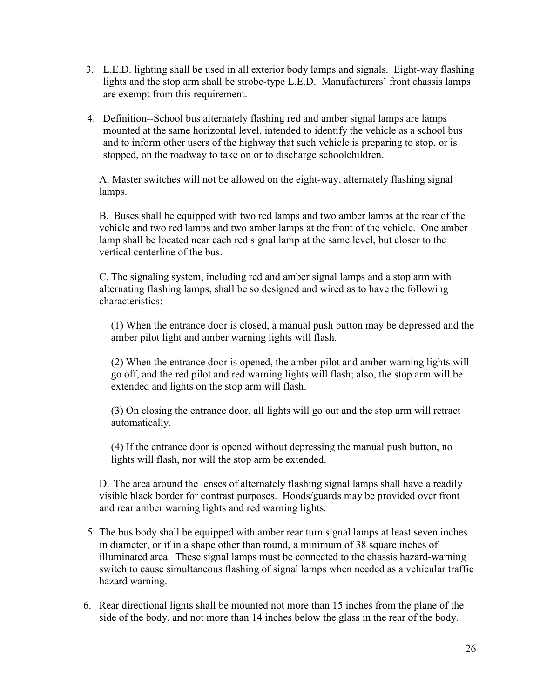- 3. L.E.D. lighting shall be used in all exterior body lamps and signals. Eight-way flashing lights and the stop arm shall be strobe-type L.E.D. Manufacturers' front chassis lamps are exempt from this requirement.
- 4. Definition--School bus alternately flashing red and amber signal lamps are lamps mounted at the same horizontal level, intended to identify the vehicle as a school bus and to inform other users of the highway that such vehicle is preparing to stop, or is stopped, on the roadway to take on or to discharge schoolchildren.

A. Master switches will not be allowed on the eight-way, alternately flashing signal lamps.

B. Buses shall be equipped with two red lamps and two amber lamps at the rear of the vehicle and two red lamps and two amber lamps at the front of the vehicle. One amber lamp shall be located near each red signal lamp at the same level, but closer to the vertical centerline of the bus.

C. The signaling system, including red and amber signal lamps and a stop arm with alternating flashing lamps, shall be so designed and wired as to have the following characteristics:

(1) When the entrance door is closed, a manual push button may be depressed and the amber pilot light and amber warning lights will flash.

(2) When the entrance door is opened, the amber pilot and amber warning lights will go off, and the red pilot and red warning lights will flash; also, the stop arm will be extended and lights on the stop arm will flash.

(3) On closing the entrance door, all lights will go out and the stop arm will retract automatically.

(4) If the entrance door is opened without depressing the manual push button, no lights will flash, nor will the stop arm be extended.

D. The area around the lenses of alternately flashing signal lamps shall have a readily visible black border for contrast purposes. Hoods/guards may be provided over front and rear amber warning lights and red warning lights.

- 5. The bus body shall be equipped with amber rear turn signal lamps at least seven inches in diameter, or if in a shape other than round, a minimum of 38 square inches of illuminated area. These signal lamps must be connected to the chassis hazard-warning switch to cause simultaneous flashing of signal lamps when needed as a vehicular traffic hazard warning.
- 6. Rear directional lights shall be mounted not more than 15 inches from the plane of the side of the body, and not more than 14 inches below the glass in the rear of the body.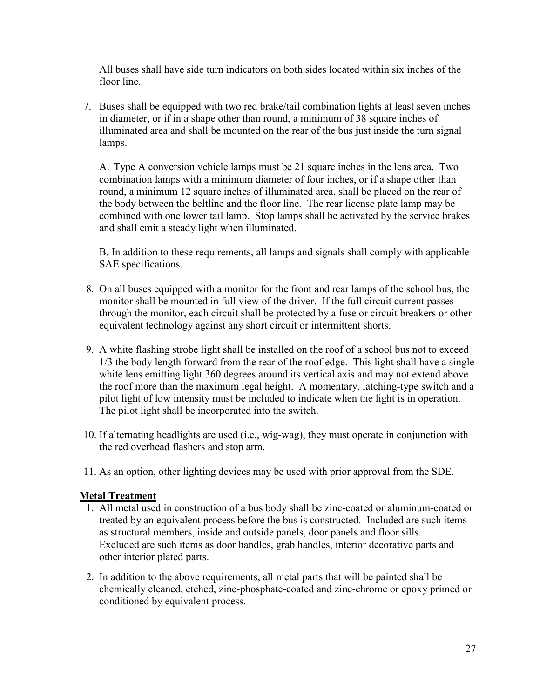All buses shall have side turn indicators on both sides located within six inches of the floor line.

7. Buses shall be equipped with two red brake/tail combination lights at least seven inches in diameter, or if in a shape other than round, a minimum of 38 square inches of illuminated area and shall be mounted on the rear of the bus just inside the turn signal lamps.

A. Type A conversion vehicle lamps must be 21 square inches in the lens area. Two combination lamps with a minimum diameter of four inches, or if a shape other than round, a minimum 12 square inches of illuminated area, shall be placed on the rear of the body between the beltline and the floor line. The rear license plate lamp may be combined with one lower tail lamp. Stop lamps shall be activated by the service brakes and shall emit a steady light when illuminated.

B. In addition to these requirements, all lamps and signals shall comply with applicable SAE specifications.

- 8. On all buses equipped with a monitor for the front and rear lamps of the school bus, the monitor shall be mounted in full view of the driver. If the full circuit current passes through the monitor, each circuit shall be protected by a fuse or circuit breakers or other equivalent technology against any short circuit or intermittent shorts.
- 9. A white flashing strobe light shall be installed on the roof of a school bus not to exceed 1/3 the body length forward from the rear of the roof edge. This light shall have a single white lens emitting light 360 degrees around its vertical axis and may not extend above the roof more than the maximum legal height. A momentary, latching-type switch and a pilot light of low intensity must be included to indicate when the light is in operation. The pilot light shall be incorporated into the switch.
- 10. If alternating headlights are used (i.e., wig-wag), they must operate in conjunction with the red overhead flashers and stop arm.
- 11. As an option, other lighting devices may be used with prior approval from the SDE.

#### **Metal Treatment**

- 1. All metal used in construction of a bus body shall be zinc-coated or aluminum-coated or treated by an equivalent process before the bus is constructed. Included are such items as structural members, inside and outside panels, door panels and floor sills. Excluded are such items as door handles, grab handles, interior decorative parts and other interior plated parts.
- 2. In addition to the above requirements, all metal parts that will be painted shall be chemically cleaned, etched, zinc-phosphate-coated and zinc-chrome or epoxy primed or conditioned by equivalent process.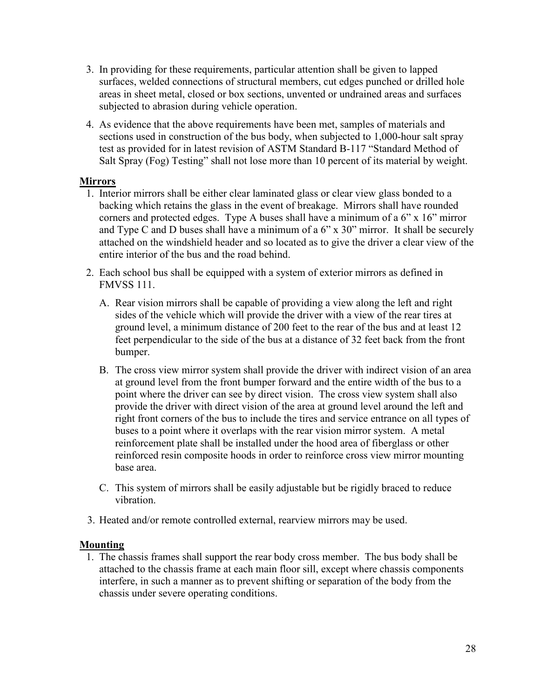- 3. In providing for these requirements, particular attention shall be given to lapped surfaces, welded connections of structural members, cut edges punched or drilled hole areas in sheet metal, closed or box sections, unvented or undrained areas and surfaces subjected to abrasion during vehicle operation.
- 4. As evidence that the above requirements have been met, samples of materials and sections used in construction of the bus body, when subjected to 1,000-hour salt spray test as provided for in latest revision of ASTM Standard B-117 "Standard Method of Salt Spray (Fog) Testing" shall not lose more than 10 percent of its material by weight.

#### **Mirrors**

- 1. Interior mirrors shall be either clear laminated glass or clear view glass bonded to a backing which retains the glass in the event of breakage. Mirrors shall have rounded corners and protected edges. Type A buses shall have a minimum of a 6" x 16" mirror and Type C and D buses shall have a minimum of a 6" x 30" mirror. It shall be securely attached on the windshield header and so located as to give the driver a clear view of the entire interior of the bus and the road behind.
- 2. Each school bus shall be equipped with a system of exterior mirrors as defined in FMVSS 111.
	- A. Rear vision mirrors shall be capable of providing a view along the left and right sides of the vehicle which will provide the driver with a view of the rear tires at ground level, a minimum distance of 200 feet to the rear of the bus and at least 12 feet perpendicular to the side of the bus at a distance of 32 feet back from the front bumper.
	- B. The cross view mirror system shall provide the driver with indirect vision of an area at ground level from the front bumper forward and the entire width of the bus to a point where the driver can see by direct vision. The cross view system shall also provide the driver with direct vision of the area at ground level around the left and right front corners of the bus to include the tires and service entrance on all types of buses to a point where it overlaps with the rear vision mirror system. A metal reinforcement plate shall be installed under the hood area of fiberglass or other reinforced resin composite hoods in order to reinforce cross view mirror mounting base area.
	- C. This system of mirrors shall be easily adjustable but be rigidly braced to reduce vibration.
- 3. Heated and/or remote controlled external, rearview mirrors may be used.

#### **Mounting**

 1. The chassis frames shall support the rear body cross member. The bus body shall be attached to the chassis frame at each main floor sill, except where chassis components interfere, in such a manner as to prevent shifting or separation of the body from the chassis under severe operating conditions.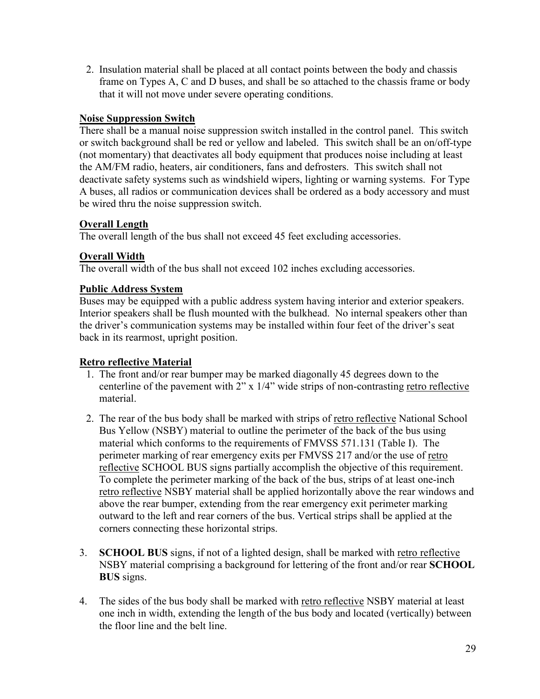2. Insulation material shall be placed at all contact points between the body and chassis frame on Types A, C and D buses, and shall be so attached to the chassis frame or body that it will not move under severe operating conditions.

#### **Noise Suppression Switch**

There shall be a manual noise suppression switch installed in the control panel. This switch or switch background shall be red or yellow and labeled. This switch shall be an on/off-type (not momentary) that deactivates all body equipment that produces noise including at least the AM/FM radio, heaters, air conditioners, fans and defrosters. This switch shall not deactivate safety systems such as windshield wipers, lighting or warning systems. For Type A buses, all radios or communication devices shall be ordered as a body accessory and must be wired thru the noise suppression switch.

#### **Overall Length**

The overall length of the bus shall not exceed 45 feet excluding accessories.

#### **Overall Width**

The overall width of the bus shall not exceed 102 inches excluding accessories.

#### **Public Address System**

Buses may be equipped with a public address system having interior and exterior speakers. Interior speakers shall be flush mounted with the bulkhead. No internal speakers other than the driver's communication systems may be installed within four feet of the driver's seat back in its rearmost, upright position.

#### **Retro reflective Material**

- 1. The front and/or rear bumper may be marked diagonally 45 degrees down to the centerline of the pavement with 2" x 1/4" wide strips of non-contrasting retro reflective material.
- 2. The rear of the bus body shall be marked with strips of retro reflective National School Bus Yellow (NSBY) material to outline the perimeter of the back of the bus using material which conforms to the requirements of FMVSS 571.131 (Table I). The perimeter marking of rear emergency exits per FMVSS 217 and/or the use of retro reflective SCHOOL BUS signs partially accomplish the objective of this requirement. To complete the perimeter marking of the back of the bus, strips of at least one-inch retro reflective NSBY material shall be applied horizontally above the rear windows and above the rear bumper, extending from the rear emergency exit perimeter marking outward to the left and rear corners of the bus. Vertical strips shall be applied at the corners connecting these horizontal strips.
- 3. **SCHOOL BUS** signs, if not of a lighted design, shall be marked with retro reflective NSBY material comprising a background for lettering of the front and/or rear **SCHOOL BUS** signs.
- 4. The sides of the bus body shall be marked with retro reflective NSBY material at least one inch in width, extending the length of the bus body and located (vertically) between the floor line and the belt line.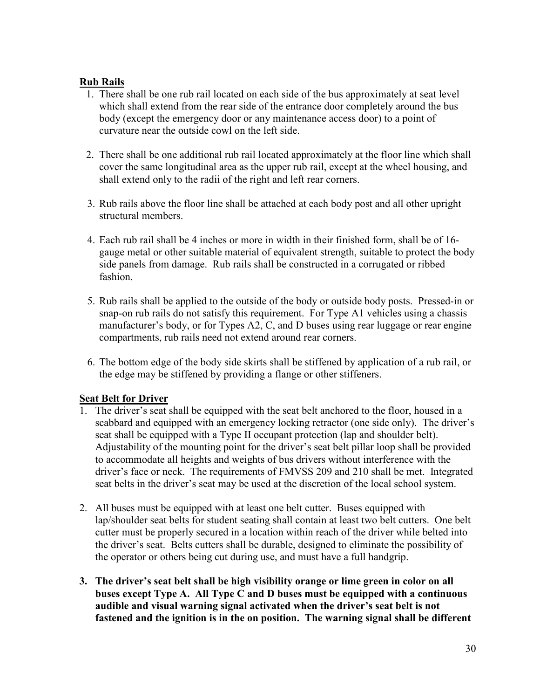#### **Rub Rails**

- 1. There shall be one rub rail located on each side of the bus approximately at seat level which shall extend from the rear side of the entrance door completely around the bus body (except the emergency door or any maintenance access door) to a point of curvature near the outside cowl on the left side.
- 2. There shall be one additional rub rail located approximately at the floor line which shall cover the same longitudinal area as the upper rub rail, except at the wheel housing, and shall extend only to the radii of the right and left rear corners.
- 3. Rub rails above the floor line shall be attached at each body post and all other upright structural members.
- 4. Each rub rail shall be 4 inches or more in width in their finished form, shall be of 16 gauge metal or other suitable material of equivalent strength, suitable to protect the body side panels from damage. Rub rails shall be constructed in a corrugated or ribbed fashion.
- 5. Rub rails shall be applied to the outside of the body or outside body posts. Pressed-in or snap-on rub rails do not satisfy this requirement. For Type A1 vehicles using a chassis manufacturer's body, or for Types A2, C, and D buses using rear luggage or rear engine compartments, rub rails need not extend around rear corners.
- 6. The bottom edge of the body side skirts shall be stiffened by application of a rub rail, or the edge may be stiffened by providing a flange or other stiffeners.

#### **Seat Belt for Driver**

- 1. The driver's seat shall be equipped with the seat belt anchored to the floor, housed in a scabbard and equipped with an emergency locking retractor (one side only). The driver's seat shall be equipped with a Type II occupant protection (lap and shoulder belt). Adjustability of the mounting point for the driver's seat belt pillar loop shall be provided to accommodate all heights and weights of bus drivers without interference with the driver's face or neck. The requirements of FMVSS 209 and 210 shall be met. Integrated seat belts in the driver's seat may be used at the discretion of the local school system.
- 2. All buses must be equipped with at least one belt cutter. Buses equipped with lap/shoulder seat belts for student seating shall contain at least two belt cutters. One belt cutter must be properly secured in a location within reach of the driver while belted into the driver's seat. Belts cutters shall be durable, designed to eliminate the possibility of the operator or others being cut during use, and must have a full handgrip.
- **3. The driver's seat belt shall be high visibility orange or lime green in color on all buses except Type A. All Type C and D buses must be equipped with a continuous audible and visual warning signal activated when the driver's seat belt is not fastened and the ignition is in the on position. The warning signal shall be different**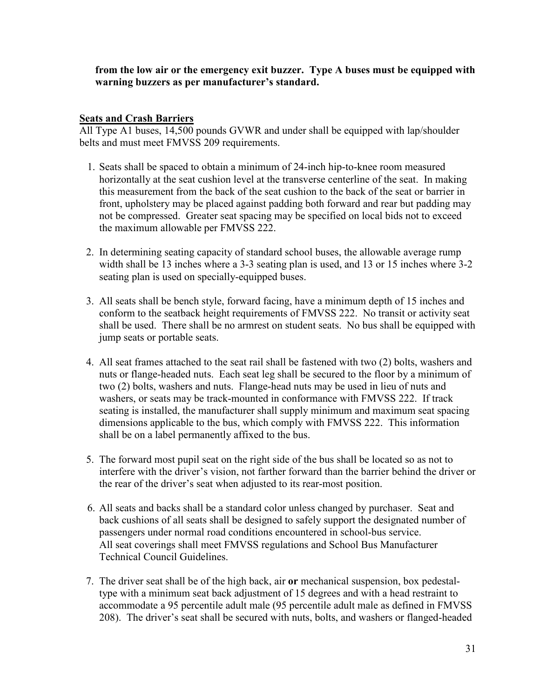**from the low air or the emergency exit buzzer. Type A buses must be equipped with warning buzzers as per manufacturer's standard.** 

#### **Seats and Crash Barriers**

All Type A1 buses, 14,500 pounds GVWR and under shall be equipped with lap/shoulder belts and must meet FMVSS 209 requirements.

- 1. Seats shall be spaced to obtain a minimum of 24-inch hip-to-knee room measured horizontally at the seat cushion level at the transverse centerline of the seat. In making this measurement from the back of the seat cushion to the back of the seat or barrier in front, upholstery may be placed against padding both forward and rear but padding may not be compressed. Greater seat spacing may be specified on local bids not to exceed the maximum allowable per FMVSS 222.
- 2. In determining seating capacity of standard school buses, the allowable average rump width shall be 13 inches where a 3-3 seating plan is used, and 13 or 15 inches where 3-2 seating plan is used on specially-equipped buses.
- 3. All seats shall be bench style, forward facing, have a minimum depth of 15 inches and conform to the seatback height requirements of FMVSS 222. No transit or activity seat shall be used. There shall be no armrest on student seats. No bus shall be equipped with jump seats or portable seats.
- 4. All seat frames attached to the seat rail shall be fastened with two (2) bolts, washers and nuts or flange-headed nuts. Each seat leg shall be secured to the floor by a minimum of two (2) bolts, washers and nuts. Flange-head nuts may be used in lieu of nuts and washers, or seats may be track-mounted in conformance with FMVSS 222. If track seating is installed, the manufacturer shall supply minimum and maximum seat spacing dimensions applicable to the bus, which comply with FMVSS 222. This information shall be on a label permanently affixed to the bus.
- 5. The forward most pupil seat on the right side of the bus shall be located so as not to interfere with the driver's vision, not farther forward than the barrier behind the driver or the rear of the driver's seat when adjusted to its rear-most position.
- 6. All seats and backs shall be a standard color unless changed by purchaser. Seat and back cushions of all seats shall be designed to safely support the designated number of passengers under normal road conditions encountered in school-bus service. All seat coverings shall meet FMVSS regulations and School Bus Manufacturer Technical Council Guidelines.
- 7. The driver seat shall be of the high back, air **or** mechanical suspension, box pedestaltype with a minimum seat back adjustment of 15 degrees and with a head restraint to accommodate a 95 percentile adult male (95 percentile adult male as defined in FMVSS 208). The driver's seat shall be secured with nuts, bolts, and washers or flanged-headed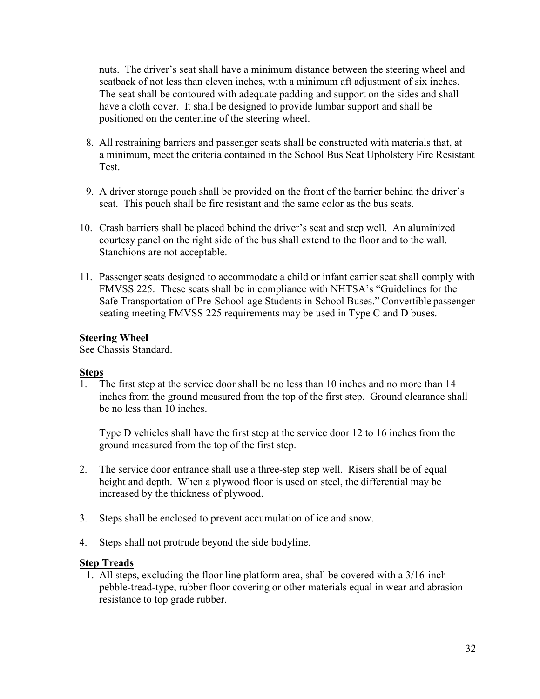nuts. The driver's seat shall have a minimum distance between the steering wheel and seatback of not less than eleven inches, with a minimum aft adjustment of six inches. The seat shall be contoured with adequate padding and support on the sides and shall have a cloth cover. It shall be designed to provide lumbar support and shall be positioned on the centerline of the steering wheel.

- 8. All restraining barriers and passenger seats shall be constructed with materials that, at a minimum, meet the criteria contained in the School Bus Seat Upholstery Fire Resistant Test.
- 9. A driver storage pouch shall be provided on the front of the barrier behind the driver's seat. This pouch shall be fire resistant and the same color as the bus seats.
- 10. Crash barriers shall be placed behind the driver's seat and step well. An aluminized courtesy panel on the right side of the bus shall extend to the floor and to the wall. Stanchions are not acceptable.
- 11. Passenger seats designed to accommodate a child or infant carrier seat shall comply with FMVSS 225. These seats shall be in compliance with NHTSA's "Guidelines for the Safe Transportation of Pre-School-age Students in School Buses." Convertible passenger seating meeting FMVSS 225 requirements may be used in Type C and D buses.

#### **Steering Wheel**

See Chassis Standard.

#### **Steps**

1. The first step at the service door shall be no less than 10 inches and no more than 14 inches from the ground measured from the top of the first step. Ground clearance shall be no less than 10 inches.

 Type D vehicles shall have the first step at the service door 12 to 16 inches from the ground measured from the top of the first step.

- 2. The service door entrance shall use a three-step step well. Risers shall be of equal height and depth. When a plywood floor is used on steel, the differential may be increased by the thickness of plywood.
- 3. Steps shall be enclosed to prevent accumulation of ice and snow.
- 4. Steps shall not protrude beyond the side bodyline.

#### **Step Treads**

 1. All steps, excluding the floor line platform area, shall be covered with a 3/16-inch pebble-tread-type, rubber floor covering or other materials equal in wear and abrasion resistance to top grade rubber.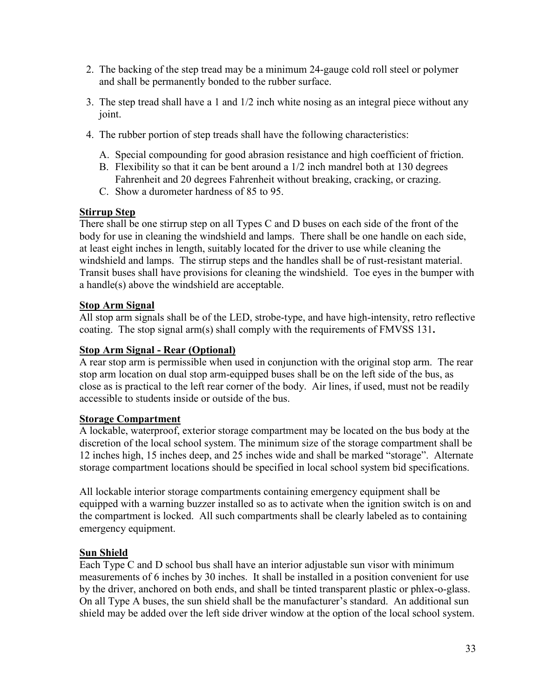- 2. The backing of the step tread may be a minimum 24-gauge cold roll steel or polymer and shall be permanently bonded to the rubber surface.
- 3. The step tread shall have a 1 and 1/2 inch white nosing as an integral piece without any joint.
- 4. The rubber portion of step treads shall have the following characteristics:
	- A. Special compounding for good abrasion resistance and high coefficient of friction.
	- B. Flexibility so that it can be bent around a 1/2 inch mandrel both at 130 degrees Fahrenheit and 20 degrees Fahrenheit without breaking, cracking, or crazing.
	- C. Show a durometer hardness of 85 to 95.

#### **Stirrup Step**

There shall be one stirrup step on all Types C and D buses on each side of the front of the body for use in cleaning the windshield and lamps. There shall be one handle on each side, at least eight inches in length, suitably located for the driver to use while cleaning the windshield and lamps. The stirrup steps and the handles shall be of rust-resistant material. Transit buses shall have provisions for cleaning the windshield. Toe eyes in the bumper with a handle(s) above the windshield are acceptable.

#### **Stop Arm Signal**

All stop arm signals shall be of the LED, strobe-type, and have high-intensity, retro reflective coating. The stop signal arm(s) shall comply with the requirements of FMVSS 131**.** 

#### **Stop Arm Signal - Rear (Optional)**

A rear stop arm is permissible when used in conjunction with the original stop arm. The rear stop arm location on dual stop arm-equipped buses shall be on the left side of the bus, as close as is practical to the left rear corner of the body. Air lines, if used, must not be readily accessible to students inside or outside of the bus.

#### **Storage Compartment**

A lockable, waterproof, exterior storage compartment may be located on the bus body at the discretion of the local school system. The minimum size of the storage compartment shall be 12 inches high, 15 inches deep, and 25 inches wide and shall be marked "storage". Alternate storage compartment locations should be specified in local school system bid specifications.

All lockable interior storage compartments containing emergency equipment shall be equipped with a warning buzzer installed so as to activate when the ignition switch is on and the compartment is locked. All such compartments shall be clearly labeled as to containing emergency equipment.

#### **Sun Shield**

Each Type C and D school bus shall have an interior adjustable sun visor with minimum measurements of 6 inches by 30 inches. It shall be installed in a position convenient for use by the driver, anchored on both ends, and shall be tinted transparent plastic or phlex-o-glass. On all Type A buses, the sun shield shall be the manufacturer's standard. An additional sun shield may be added over the left side driver window at the option of the local school system.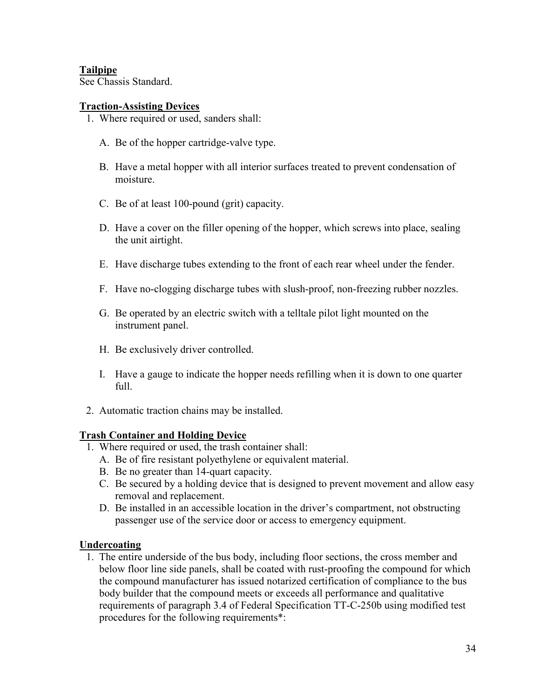#### **Tailpipe**

See Chassis Standard.

#### **Traction-Assisting Devices**

- 1. Where required or used, sanders shall:
	- A. Be of the hopper cartridge-valve type.
	- B. Have a metal hopper with all interior surfaces treated to prevent condensation of moisture.
	- C. Be of at least 100-pound (grit) capacity.
	- D. Have a cover on the filler opening of the hopper, which screws into place, sealing the unit airtight.
	- E. Have discharge tubes extending to the front of each rear wheel under the fender.
	- F. Have no-clogging discharge tubes with slush-proof, non-freezing rubber nozzles.
	- G. Be operated by an electric switch with a telltale pilot light mounted on the instrument panel.
	- H. Be exclusively driver controlled.
	- I. Have a gauge to indicate the hopper needs refilling when it is down to one quarter full.
- 2. Automatic traction chains may be installed.

#### **Trash Container and Holding Device**

- 1. Where required or used, the trash container shall:
	- A. Be of fire resistant polyethylene or equivalent material.
	- B. Be no greater than 14-quart capacity.
	- C. Be secured by a holding device that is designed to prevent movement and allow easy removal and replacement.
	- D. Be installed in an accessible location in the driver's compartment, not obstructing passenger use of the service door or access to emergency equipment.

#### **Undercoating**

 1. The entire underside of the bus body, including floor sections, the cross member and below floor line side panels, shall be coated with rust-proofing the compound for which the compound manufacturer has issued notarized certification of compliance to the bus body builder that the compound meets or exceeds all performance and qualitative requirements of paragraph 3.4 of Federal Specification TT-C-250b using modified test procedures for the following requirements\*: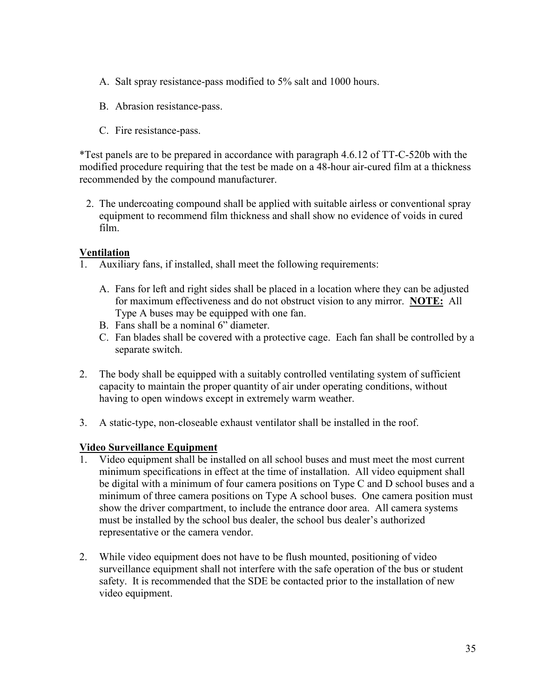- A. Salt spray resistance-pass modified to 5% salt and 1000 hours.
- B. Abrasion resistance-pass.
- C. Fire resistance-pass.

\*Test panels are to be prepared in accordance with paragraph 4.6.12 of TT-C-520b with the modified procedure requiring that the test be made on a 48-hour air-cured film at a thickness recommended by the compound manufacturer.

 2. The undercoating compound shall be applied with suitable airless or conventional spray equipment to recommend film thickness and shall show no evidence of voids in cured film.

#### **Ventilation**

- 1. Auxiliary fans, if installed, shall meet the following requirements:
	- A. Fans for left and right sides shall be placed in a location where they can be adjusted for maximum effectiveness and do not obstruct vision to any mirror. **NOTE:** All Type A buses may be equipped with one fan.
	- B. Fans shall be a nominal 6" diameter.
	- C. Fan blades shall be covered with a protective cage. Each fan shall be controlled by a separate switch.
- 2. The body shall be equipped with a suitably controlled ventilating system of sufficient capacity to maintain the proper quantity of air under operating conditions, without having to open windows except in extremely warm weather.
- 3. A static-type, non-closeable exhaust ventilator shall be installed in the roof.

#### **Video Surveillance Equipment**

- 1. Video equipment shall be installed on all school buses and must meet the most current minimum specifications in effect at the time of installation. All video equipment shall be digital with a minimum of four camera positions on Type C and D school buses and a minimum of three camera positions on Type A school buses. One camera position must show the driver compartment, to include the entrance door area. All camera systems must be installed by the school bus dealer, the school bus dealer's authorized representative or the camera vendor.
- 2. While video equipment does not have to be flush mounted, positioning of video surveillance equipment shall not interfere with the safe operation of the bus or student safety. It is recommended that the SDE be contacted prior to the installation of new video equipment.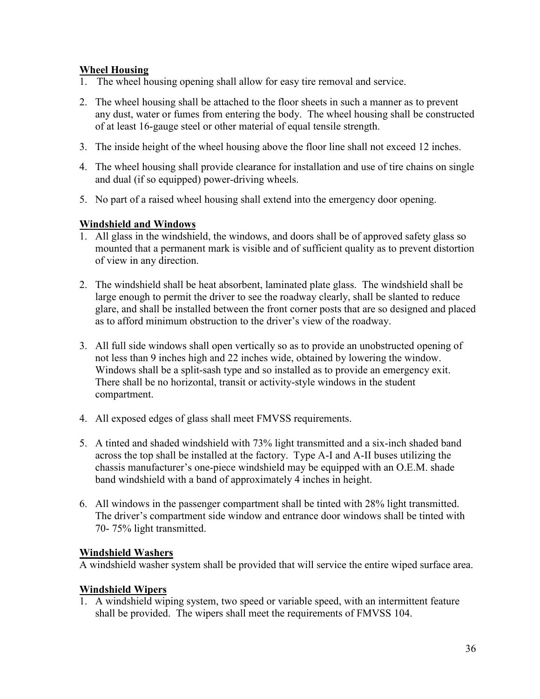#### **Wheel Housing**

- 1. The wheel housing opening shall allow for easy tire removal and service.
- 2. The wheel housing shall be attached to the floor sheets in such a manner as to prevent any dust, water or fumes from entering the body. The wheel housing shall be constructed of at least 16-gauge steel or other material of equal tensile strength.
- 3. The inside height of the wheel housing above the floor line shall not exceed 12 inches.
- 4. The wheel housing shall provide clearance for installation and use of tire chains on single and dual (if so equipped) power-driving wheels.
- 5. No part of a raised wheel housing shall extend into the emergency door opening.

#### **Windshield and Windows**

- 1. All glass in the windshield, the windows, and doors shall be of approved safety glass so mounted that a permanent mark is visible and of sufficient quality as to prevent distortion of view in any direction.
- 2. The windshield shall be heat absorbent, laminated plate glass. The windshield shall be large enough to permit the driver to see the roadway clearly, shall be slanted to reduce glare, and shall be installed between the front corner posts that are so designed and placed as to afford minimum obstruction to the driver's view of the roadway.
- 3. All full side windows shall open vertically so as to provide an unobstructed opening of not less than 9 inches high and 22 inches wide, obtained by lowering the window. Windows shall be a split-sash type and so installed as to provide an emergency exit. There shall be no horizontal, transit or activity-style windows in the student compartment.
- 4. All exposed edges of glass shall meet FMVSS requirements.
- 5. A tinted and shaded windshield with 73% light transmitted and a six-inch shaded band across the top shall be installed at the factory. Type A-I and A-II buses utilizing the chassis manufacturer's one-piece windshield may be equipped with an O.E.M. shade band windshield with a band of approximately 4 inches in height.
- 6. All windows in the passenger compartment shall be tinted with 28% light transmitted. The driver's compartment side window and entrance door windows shall be tinted with 70- 75% light transmitted.

#### **Windshield Washers**

A windshield washer system shall be provided that will service the entire wiped surface area.

#### **Windshield Wipers**

1. A windshield wiping system, two speed or variable speed, with an intermittent feature shall be provided. The wipers shall meet the requirements of FMVSS 104.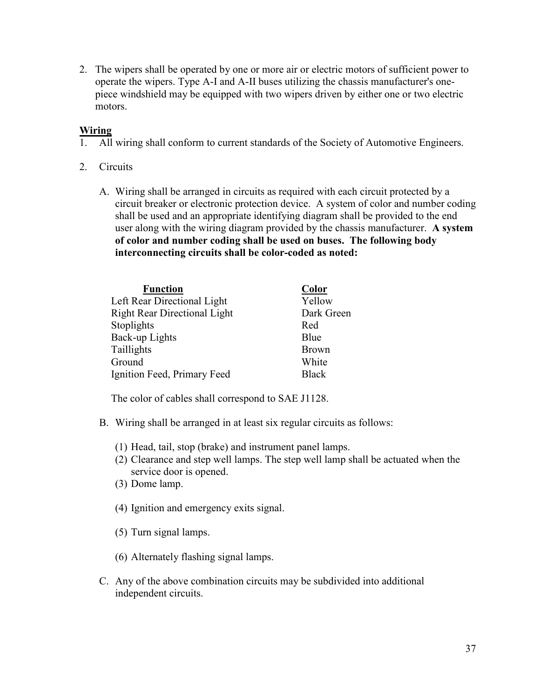2. The wipers shall be operated by one or more air or electric motors of sufficient power to operate the wipers. Type A-I and A-II buses utilizing the chassis manufacturer's onepiece windshield may be equipped with two wipers driven by either one or two electric motors.

#### **Wiring**

- 1. All wiring shall conform to current standards of the Society of Automotive Engineers.
- 2. Circuits
	- A. Wiring shall be arranged in circuits as required with each circuit protected by a circuit breaker or electronic protection device. A system of color and number coding shall be used and an appropriate identifying diagram shall be provided to the end user along with the wiring diagram provided by the chassis manufacturer. **A system of color and number coding shall be used on buses. The following body interconnecting circuits shall be color-coded as noted:**

| <b>Function</b>                     | <b>Color</b> |
|-------------------------------------|--------------|
| Left Rear Directional Light         | Yellow       |
| <b>Right Rear Directional Light</b> | Dark Green   |
| Stoplights                          | Red          |
| Back-up Lights                      | Blue         |
| Taillights                          | <b>Brown</b> |
| Ground                              | White        |
| Ignition Feed, Primary Feed         | <b>Black</b> |

The color of cables shall correspond to SAE J1128.

- B. Wiring shall be arranged in at least six regular circuits as follows:
	- (1) Head, tail, stop (brake) and instrument panel lamps.
	- (2) Clearance and step well lamps. The step well lamp shall be actuated when the service door is opened.
	- (3) Dome lamp.
	- (4) Ignition and emergency exits signal.
	- (5) Turn signal lamps.
	- (6) Alternately flashing signal lamps.
- C. Any of the above combination circuits may be subdivided into additional independent circuits.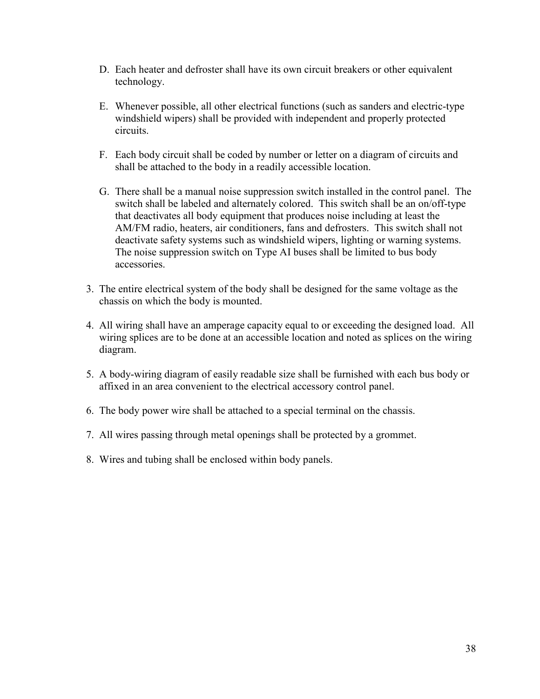- D. Each heater and defroster shall have its own circuit breakers or other equivalent technology.
- E. Whenever possible, all other electrical functions (such as sanders and electric-type windshield wipers) shall be provided with independent and properly protected circuits.
- F. Each body circuit shall be coded by number or letter on a diagram of circuits and shall be attached to the body in a readily accessible location.
- G. There shall be a manual noise suppression switch installed in the control panel. The switch shall be labeled and alternately colored. This switch shall be an on/off-type that deactivates all body equipment that produces noise including at least the AM/FM radio, heaters, air conditioners, fans and defrosters. This switch shall not deactivate safety systems such as windshield wipers, lighting or warning systems. The noise suppression switch on Type AI buses shall be limited to bus body accessories.
- 3. The entire electrical system of the body shall be designed for the same voltage as the chassis on which the body is mounted.
- 4. All wiring shall have an amperage capacity equal to or exceeding the designed load. All wiring splices are to be done at an accessible location and noted as splices on the wiring diagram.
- 5. A body-wiring diagram of easily readable size shall be furnished with each bus body or affixed in an area convenient to the electrical accessory control panel.
- 6. The body power wire shall be attached to a special terminal on the chassis.
- 7. All wires passing through metal openings shall be protected by a grommet.
- 8. Wires and tubing shall be enclosed within body panels.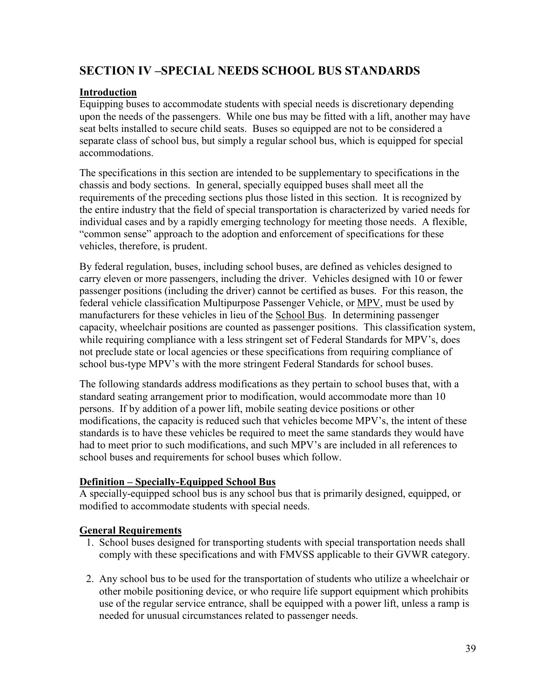### **SECTION IV –SPECIAL NEEDS SCHOOL BUS STANDARDS**

#### **Introduction**

Equipping buses to accommodate students with special needs is discretionary depending upon the needs of the passengers. While one bus may be fitted with a lift, another may have seat belts installed to secure child seats. Buses so equipped are not to be considered a separate class of school bus, but simply a regular school bus, which is equipped for special accommodations.

The specifications in this section are intended to be supplementary to specifications in the chassis and body sections. In general, specially equipped buses shall meet all the requirements of the preceding sections plus those listed in this section. It is recognized by the entire industry that the field of special transportation is characterized by varied needs for individual cases and by a rapidly emerging technology for meeting those needs. A flexible, "common sense" approach to the adoption and enforcement of specifications for these vehicles, therefore, is prudent.

By federal regulation, buses, including school buses, are defined as vehicles designed to carry eleven or more passengers, including the driver. Vehicles designed with 10 or fewer passenger positions (including the driver) cannot be certified as buses. For this reason, the federal vehicle classification Multipurpose Passenger Vehicle, or MPV, must be used by manufacturers for these vehicles in lieu of the School Bus. In determining passenger capacity, wheelchair positions are counted as passenger positions. This classification system, while requiring compliance with a less stringent set of Federal Standards for MPV's, does not preclude state or local agencies or these specifications from requiring compliance of school bus-type MPV's with the more stringent Federal Standards for school buses.

The following standards address modifications as they pertain to school buses that, with a standard seating arrangement prior to modification, would accommodate more than 10 persons. If by addition of a power lift, mobile seating device positions or other modifications, the capacity is reduced such that vehicles become MPV's, the intent of these standards is to have these vehicles be required to meet the same standards they would have had to meet prior to such modifications, and such MPV's are included in all references to school buses and requirements for school buses which follow.

#### **Definition – Specially-Equipped School Bus**

A specially-equipped school bus is any school bus that is primarily designed, equipped, or modified to accommodate students with special needs.

#### **General Requirements**

- 1. School buses designed for transporting students with special transportation needs shall comply with these specifications and with FMVSS applicable to their GVWR category.
- 2. Any school bus to be used for the transportation of students who utilize a wheelchair or other mobile positioning device, or who require life support equipment which prohibits use of the regular service entrance, shall be equipped with a power lift, unless a ramp is needed for unusual circumstances related to passenger needs.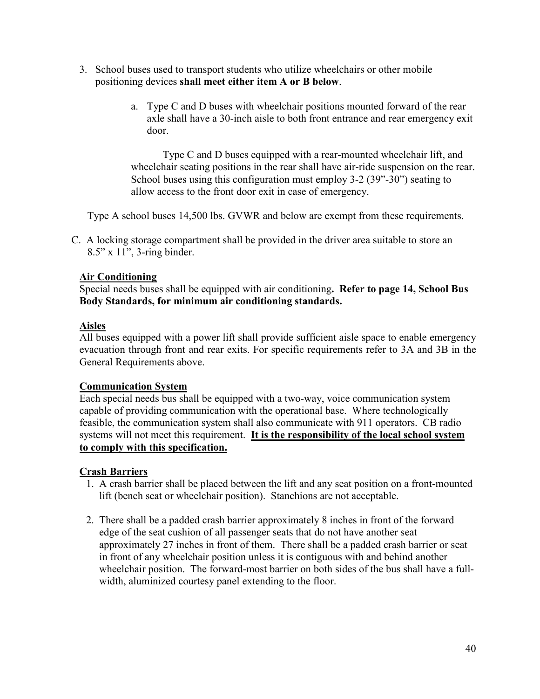- 3. School buses used to transport students who utilize wheelchairs or other mobile positioning devices **shall meet either item A or B below**.
	- a. Type C and D buses with wheelchair positions mounted forward of the rear axle shall have a 30-inch aisle to both front entrance and rear emergency exit door.

Type C and D buses equipped with a rear-mounted wheelchair lift, and wheelchair seating positions in the rear shall have air-ride suspension on the rear. School buses using this configuration must employ 3-2 (39"-30") seating to allow access to the front door exit in case of emergency.

Type A school buses 14,500 lbs. GVWR and below are exempt from these requirements.

C. A locking storage compartment shall be provided in the driver area suitable to store an 8.5" x 11", 3-ring binder.

#### **Air Conditioning**

Special needs buses shall be equipped with air conditioning**. Refer to page 14, School Bus Body Standards, for minimum air conditioning standards.** 

#### **Aisles**

All buses equipped with a power lift shall provide sufficient aisle space to enable emergency evacuation through front and rear exits. For specific requirements refer to 3A and 3B in the General Requirements above.

#### **Communication System**

Each special needs bus shall be equipped with a two-way, voice communication system capable of providing communication with the operational base. Where technologically feasible, the communication system shall also communicate with 911 operators. CB radio systems will not meet this requirement. **It is the responsibility of the local school system to comply with this specification.** 

#### **Crash Barriers**

- 1. A crash barrier shall be placed between the lift and any seat position on a front-mounted lift (bench seat or wheelchair position). Stanchions are not acceptable.
- 2. There shall be a padded crash barrier approximately 8 inches in front of the forward edge of the seat cushion of all passenger seats that do not have another seat approximately 27 inches in front of them. There shall be a padded crash barrier or seat in front of any wheelchair position unless it is contiguous with and behind another wheelchair position. The forward-most barrier on both sides of the bus shall have a fullwidth, aluminized courtesy panel extending to the floor.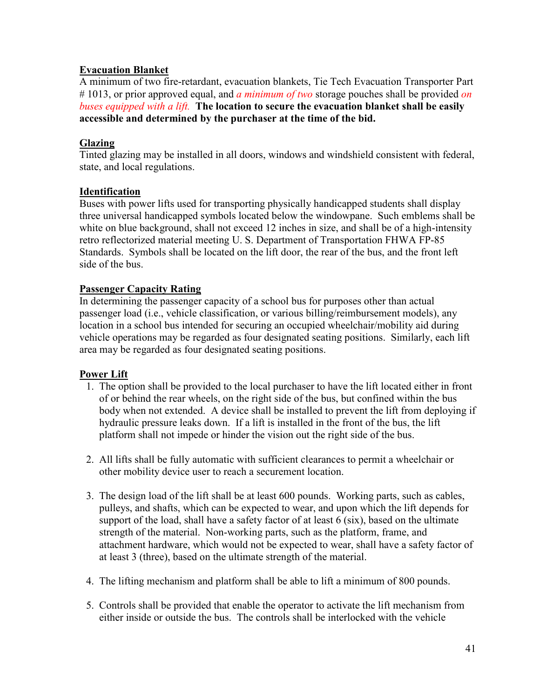#### **Evacuation Blanket**

A minimum of two fire-retardant, evacuation blankets, Tie Tech Evacuation Transporter Part # 1013, or prior approved equal, and *a minimum of two* storage pouches shall be provided *on buses equipped with a lift.* **The location to secure the evacuation blanket shall be easily accessible and determined by the purchaser at the time of the bid.**

#### **Glazing**

Tinted glazing may be installed in all doors, windows and windshield consistent with federal, state, and local regulations.

#### **Identification**

Buses with power lifts used for transporting physically handicapped students shall display three universal handicapped symbols located below the windowpane. Such emblems shall be white on blue background, shall not exceed 12 inches in size, and shall be of a high-intensity retro reflectorized material meeting U. S. Department of Transportation FHWA FP-85 Standards. Symbols shall be located on the lift door, the rear of the bus, and the front left side of the bus.

#### **Passenger Capacity Rating**

In determining the passenger capacity of a school bus for purposes other than actual passenger load (i.e., vehicle classification, or various billing/reimbursement models), any location in a school bus intended for securing an occupied wheelchair/mobility aid during vehicle operations may be regarded as four designated seating positions. Similarly, each lift area may be regarded as four designated seating positions.

#### **Power Lift**

- 1. The option shall be provided to the local purchaser to have the lift located either in front of or behind the rear wheels, on the right side of the bus, but confined within the bus body when not extended. A device shall be installed to prevent the lift from deploying if hydraulic pressure leaks down. If a lift is installed in the front of the bus, the lift platform shall not impede or hinder the vision out the right side of the bus.
- 2. All lifts shall be fully automatic with sufficient clearances to permit a wheelchair or other mobility device user to reach a securement location.
- 3. The design load of the lift shall be at least 600 pounds. Working parts, such as cables, pulleys, and shafts, which can be expected to wear, and upon which the lift depends for support of the load, shall have a safety factor of at least 6 (six), based on the ultimate strength of the material. Non-working parts, such as the platform, frame, and attachment hardware, which would not be expected to wear, shall have a safety factor of at least 3 (three), based on the ultimate strength of the material.
- 4. The lifting mechanism and platform shall be able to lift a minimum of 800 pounds.
- 5. Controls shall be provided that enable the operator to activate the lift mechanism from either inside or outside the bus. The controls shall be interlocked with the vehicle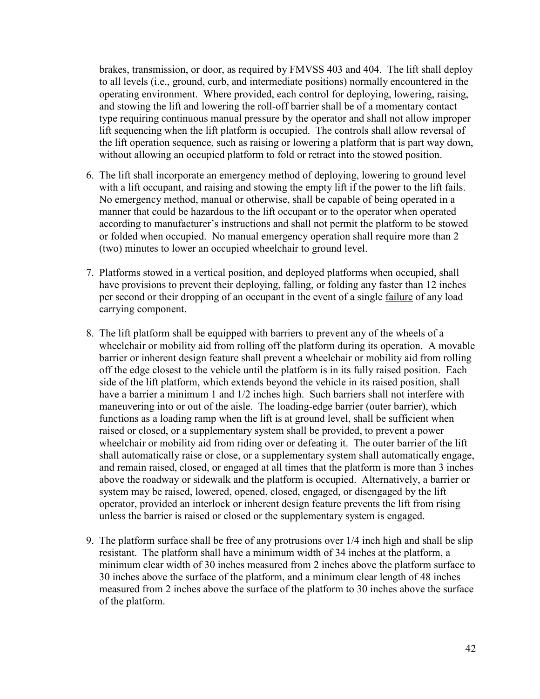brakes, transmission, or door, as required by FMVSS 403 and 404. The lift shall deploy to all levels (i.e., ground, curb, and intermediate positions) normally encountered in the operating environment. Where provided, each control for deploying, lowering, raising, and stowing the lift and lowering the roll-off barrier shall be of a momentary contact type requiring continuous manual pressure by the operator and shall not allow improper lift sequencing when the lift platform is occupied. The controls shall allow reversal of the lift operation sequence, such as raising or lowering a platform that is part way down, without allowing an occupied platform to fold or retract into the stowed position.

- 6. The lift shall incorporate an emergency method of deploying, lowering to ground level with a lift occupant, and raising and stowing the empty lift if the power to the lift fails. No emergency method, manual or otherwise, shall be capable of being operated in a manner that could be hazardous to the lift occupant or to the operator when operated according to manufacturer's instructions and shall not permit the platform to be stowed or folded when occupied. No manual emergency operation shall require more than 2 (two) minutes to lower an occupied wheelchair to ground level.
- 7. Platforms stowed in a vertical position, and deployed platforms when occupied, shall have provisions to prevent their deploying, falling, or folding any faster than 12 inches per second or their dropping of an occupant in the event of a single failure of any load carrying component.
- 8. The lift platform shall be equipped with barriers to prevent any of the wheels of a wheelchair or mobility aid from rolling off the platform during its operation. A movable barrier or inherent design feature shall prevent a wheelchair or mobility aid from rolling off the edge closest to the vehicle until the platform is in its fully raised position. Each side of the lift platform, which extends beyond the vehicle in its raised position, shall have a barrier a minimum 1 and  $1/2$  inches high. Such barriers shall not interfere with maneuvering into or out of the aisle. The loading-edge barrier (outer barrier), which functions as a loading ramp when the lift is at ground level, shall be sufficient when raised or closed, or a supplementary system shall be provided, to prevent a power wheelchair or mobility aid from riding over or defeating it. The outer barrier of the lift shall automatically raise or close, or a supplementary system shall automatically engage, and remain raised, closed, or engaged at all times that the platform is more than 3 inches above the roadway or sidewalk and the platform is occupied. Alternatively, a barrier or system may be raised, lowered, opened, closed, engaged, or disengaged by the lift operator, provided an interlock or inherent design feature prevents the lift from rising unless the barrier is raised or closed or the supplementary system is engaged.
- 9. The platform surface shall be free of any protrusions over 1/4 inch high and shall be slip resistant. The platform shall have a minimum width of 34 inches at the platform, a minimum clear width of 30 inches measured from 2 inches above the platform surface to 30 inches above the surface of the platform, and a minimum clear length of 48 inches measured from 2 inches above the surface of the platform to 30 inches above the surface of the platform.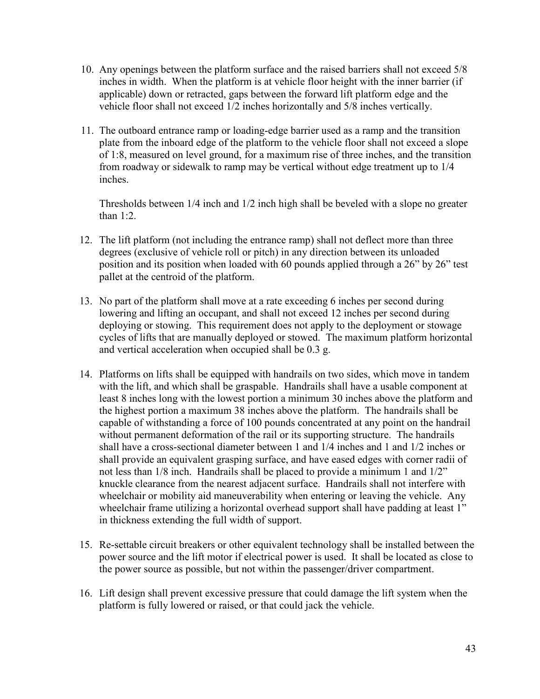- 10. Any openings between the platform surface and the raised barriers shall not exceed 5/8 inches in width. When the platform is at vehicle floor height with the inner barrier (if applicable) down or retracted, gaps between the forward lift platform edge and the vehicle floor shall not exceed 1/2 inches horizontally and 5/8 inches vertically.
- 11. The outboard entrance ramp or loading-edge barrier used as a ramp and the transition plate from the inboard edge of the platform to the vehicle floor shall not exceed a slope of 1:8, measured on level ground, for a maximum rise of three inches, and the transition from roadway or sidewalk to ramp may be vertical without edge treatment up to 1/4 inches.

 Thresholds between 1/4 inch and 1/2 inch high shall be beveled with a slope no greater than 1:2.

- 12. The lift platform (not including the entrance ramp) shall not deflect more than three degrees (exclusive of vehicle roll or pitch) in any direction between its unloaded position and its position when loaded with 60 pounds applied through a 26" by 26" test pallet at the centroid of the platform.
- 13. No part of the platform shall move at a rate exceeding 6 inches per second during lowering and lifting an occupant, and shall not exceed 12 inches per second during deploying or stowing. This requirement does not apply to the deployment or stowage cycles of lifts that are manually deployed or stowed. The maximum platform horizontal and vertical acceleration when occupied shall be 0.3 g.
- 14. Platforms on lifts shall be equipped with handrails on two sides, which move in tandem with the lift, and which shall be graspable. Handrails shall have a usable component at least 8 inches long with the lowest portion a minimum 30 inches above the platform and the highest portion a maximum 38 inches above the platform. The handrails shall be capable of withstanding a force of 100 pounds concentrated at any point on the handrail without permanent deformation of the rail or its supporting structure. The handrails shall have a cross-sectional diameter between 1 and 1/4 inches and 1 and 1/2 inches or shall provide an equivalent grasping surface, and have eased edges with corner radii of not less than 1/8 inch. Handrails shall be placed to provide a minimum 1 and 1/2" knuckle clearance from the nearest adjacent surface. Handrails shall not interfere with wheelchair or mobility aid maneuverability when entering or leaving the vehicle. Any wheelchair frame utilizing a horizontal overhead support shall have padding at least 1" in thickness extending the full width of support.
- 15. Re-settable circuit breakers or other equivalent technology shall be installed between the power source and the lift motor if electrical power is used. It shall be located as close to the power source as possible, but not within the passenger/driver compartment.
- 16. Lift design shall prevent excessive pressure that could damage the lift system when the platform is fully lowered or raised, or that could jack the vehicle.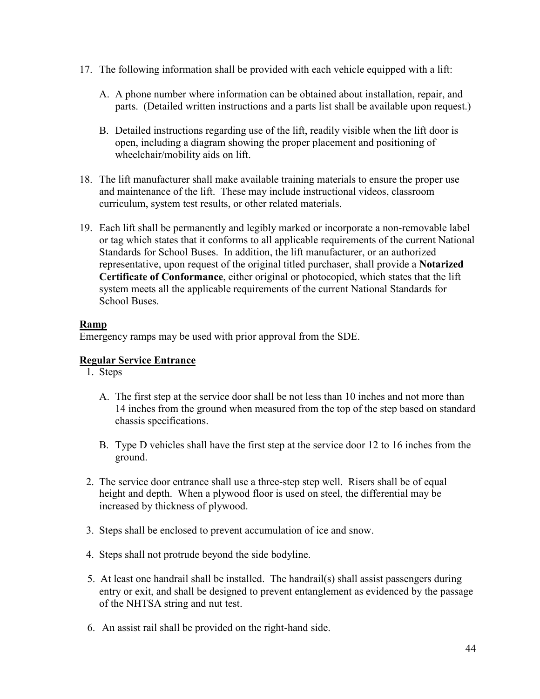- 17. The following information shall be provided with each vehicle equipped with a lift:
	- A. A phone number where information can be obtained about installation, repair, and parts. (Detailed written instructions and a parts list shall be available upon request.)
	- B. Detailed instructions regarding use of the lift, readily visible when the lift door is open, including a diagram showing the proper placement and positioning of wheelchair/mobility aids on lift.
- 18. The lift manufacturer shall make available training materials to ensure the proper use and maintenance of the lift. These may include instructional videos, classroom curriculum, system test results, or other related materials.
- 19. Each lift shall be permanently and legibly marked or incorporate a non-removable label or tag which states that it conforms to all applicable requirements of the current National Standards for School Buses. In addition, the lift manufacturer, or an authorized representative, upon request of the original titled purchaser, shall provide a **Notarized Certificate of Conformance**, either original or photocopied, which states that the lift system meets all the applicable requirements of the current National Standards for School Buses.

#### **Ramp**

Emergency ramps may be used with prior approval from the SDE.

#### **Regular Service Entrance**

- 1. Steps
	- A. The first step at the service door shall be not less than 10 inches and not more than 14 inches from the ground when measured from the top of the step based on standard chassis specifications.
	- B. Type D vehicles shall have the first step at the service door 12 to 16 inches from the ground.
- 2. The service door entrance shall use a three-step step well. Risers shall be of equal height and depth. When a plywood floor is used on steel, the differential may be increased by thickness of plywood.
- 3. Steps shall be enclosed to prevent accumulation of ice and snow.
- 4. Steps shall not protrude beyond the side bodyline.
- 5. At least one handrail shall be installed. The handrail(s) shall assist passengers during entry or exit, and shall be designed to prevent entanglement as evidenced by the passage of the NHTSA string and nut test.
- 6. An assist rail shall be provided on the right-hand side.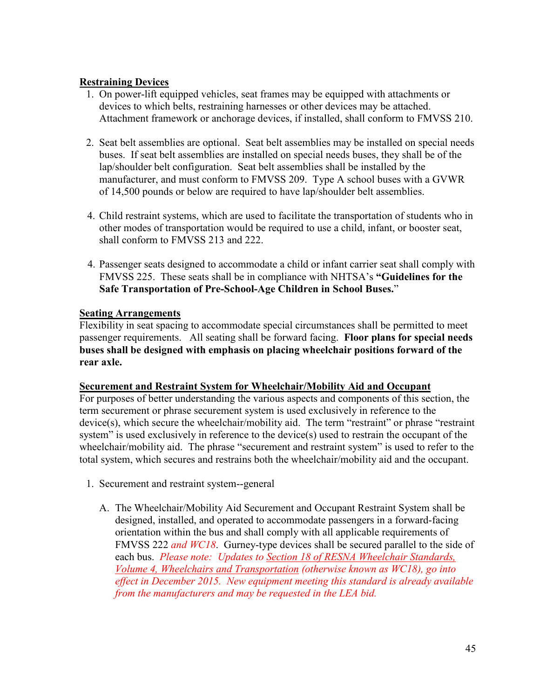#### **Restraining Devices**

- 1. On power-lift equipped vehicles, seat frames may be equipped with attachments or devices to which belts, restraining harnesses or other devices may be attached. Attachment framework or anchorage devices, if installed, shall conform to FMVSS 210.
- 2. Seat belt assemblies are optional. Seat belt assemblies may be installed on special needs buses. If seat belt assemblies are installed on special needs buses, they shall be of the lap/shoulder belt configuration. Seat belt assemblies shall be installed by the manufacturer, and must conform to FMVSS 209. Type A school buses with a GVWR of 14,500 pounds or below are required to have lap/shoulder belt assemblies.
- 4. Child restraint systems, which are used to facilitate the transportation of students who in other modes of transportation would be required to use a child, infant, or booster seat, shall conform to FMVSS 213 and 222.
- 4. Passenger seats designed to accommodate a child or infant carrier seat shall comply with FMVSS 225. These seats shall be in compliance with NHTSA's **"Guidelines for the Safe Transportation of Pre-School-Age Children in School Buses.**"

#### **Seating Arrangements**

Flexibility in seat spacing to accommodate special circumstances shall be permitted to meet passenger requirements. All seating shall be forward facing. **Floor plans for special needs buses shall be designed with emphasis on placing wheelchair positions forward of the rear axle.**

#### **Securement and Restraint System for Wheelchair/Mobility Aid and Occupant**

For purposes of better understanding the various aspects and components of this section, the term securement or phrase securement system is used exclusively in reference to the device(s), which secure the wheelchair/mobility aid. The term "restraint" or phrase "restraint system" is used exclusively in reference to the device(s) used to restrain the occupant of the wheelchair/mobility aid. The phrase "securement and restraint system" is used to refer to the total system, which secures and restrains both the wheelchair/mobility aid and the occupant.

- 1. Securement and restraint system--general
	- A. The Wheelchair/Mobility Aid Securement and Occupant Restraint System shall be designed, installed, and operated to accommodate passengers in a forward-facing orientation within the bus and shall comply with all applicable requirements of FMVSS 222 *and WC18*. Gurney-type devices shall be secured parallel to the side of each bus. *Please note: Updates to Section 18 of RESNA Wheelchair Standards, Volume 4, Wheelchairs and Transportation (otherwise known as WC18), go into effect in December 2015. New equipment meeting this standard is already available from the manufacturers and may be requested in the LEA bid.*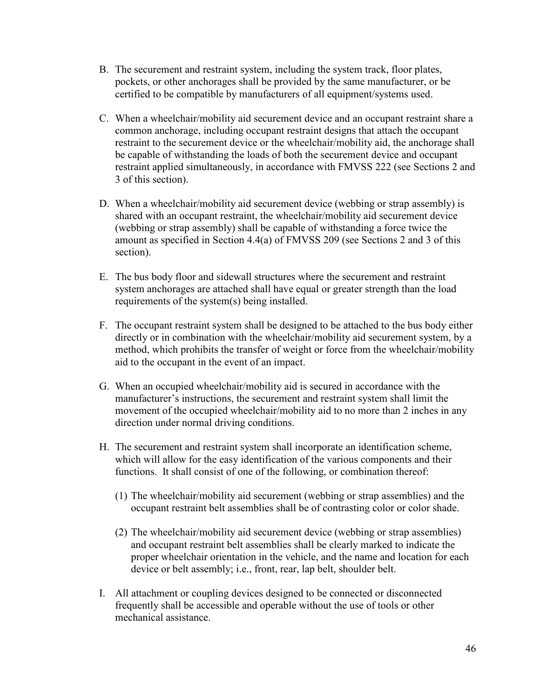- B. The securement and restraint system, including the system track, floor plates, pockets, or other anchorages shall be provided by the same manufacturer, or be certified to be compatible by manufacturers of all equipment/systems used.
- C. When a wheelchair/mobility aid securement device and an occupant restraint share a common anchorage, including occupant restraint designs that attach the occupant restraint to the securement device or the wheelchair/mobility aid, the anchorage shall be capable of withstanding the loads of both the securement device and occupant restraint applied simultaneously, in accordance with FMVSS 222 (see Sections 2 and 3 of this section).
- D. When a wheelchair/mobility aid securement device (webbing or strap assembly) is shared with an occupant restraint, the wheelchair/mobility aid securement device (webbing or strap assembly) shall be capable of withstanding a force twice the amount as specified in Section 4.4(a) of FMVSS 209 (see Sections 2 and 3 of this section).
- E. The bus body floor and sidewall structures where the securement and restraint system anchorages are attached shall have equal or greater strength than the load requirements of the system(s) being installed.
- F. The occupant restraint system shall be designed to be attached to the bus body either directly or in combination with the wheelchair/mobility aid securement system, by a method, which prohibits the transfer of weight or force from the wheelchair/mobility aid to the occupant in the event of an impact.
- G. When an occupied wheelchair/mobility aid is secured in accordance with the manufacturer's instructions, the securement and restraint system shall limit the movement of the occupied wheelchair/mobility aid to no more than 2 inches in any direction under normal driving conditions.
- H. The securement and restraint system shall incorporate an identification scheme, which will allow for the easy identification of the various components and their functions. It shall consist of one of the following, or combination thereof:
	- (1) The wheelchair/mobility aid securement (webbing or strap assemblies) and the occupant restraint belt assemblies shall be of contrasting color or color shade.
	- (2) The wheelchair/mobility aid securement device (webbing or strap assemblies) and occupant restraint belt assemblies shall be clearly marked to indicate the proper wheelchair orientation in the vehicle, and the name and location for each device or belt assembly; i.e., front, rear, lap belt, shoulder belt.
- I. All attachment or coupling devices designed to be connected or disconnected frequently shall be accessible and operable without the use of tools or other mechanical assistance.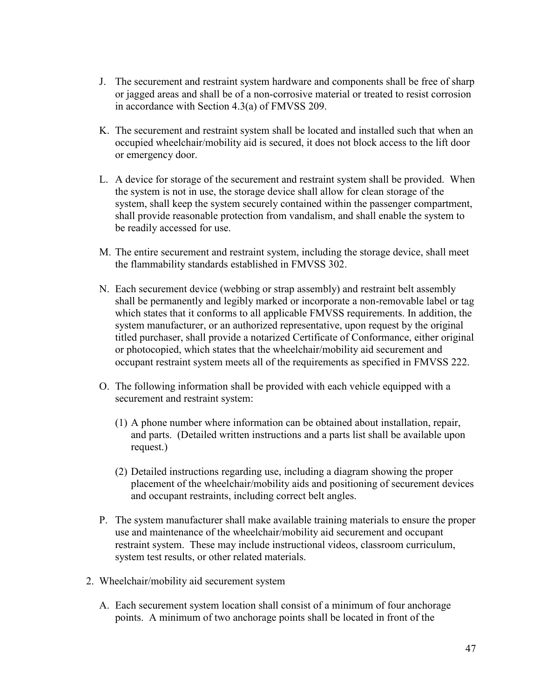- J. The securement and restraint system hardware and components shall be free of sharp or jagged areas and shall be of a non-corrosive material or treated to resist corrosion in accordance with Section 4.3(a) of FMVSS 209.
- K. The securement and restraint system shall be located and installed such that when an occupied wheelchair/mobility aid is secured, it does not block access to the lift door or emergency door.
- L. A device for storage of the securement and restraint system shall be provided. When the system is not in use, the storage device shall allow for clean storage of the system, shall keep the system securely contained within the passenger compartment, shall provide reasonable protection from vandalism, and shall enable the system to be readily accessed for use.
- M. The entire securement and restraint system, including the storage device, shall meet the flammability standards established in FMVSS 302.
- N. Each securement device (webbing or strap assembly) and restraint belt assembly shall be permanently and legibly marked or incorporate a non-removable label or tag which states that it conforms to all applicable FMVSS requirements. In addition, the system manufacturer, or an authorized representative, upon request by the original titled purchaser, shall provide a notarized Certificate of Conformance, either original or photocopied, which states that the wheelchair/mobility aid securement and occupant restraint system meets all of the requirements as specified in FMVSS 222.
- O. The following information shall be provided with each vehicle equipped with a securement and restraint system:
	- (1) A phone number where information can be obtained about installation, repair, and parts. (Detailed written instructions and a parts list shall be available upon request.)
	- (2) Detailed instructions regarding use, including a diagram showing the proper placement of the wheelchair/mobility aids and positioning of securement devices and occupant restraints, including correct belt angles.
- P. The system manufacturer shall make available training materials to ensure the proper use and maintenance of the wheelchair/mobility aid securement and occupant restraint system. These may include instructional videos, classroom curriculum, system test results, or other related materials.
- 2. Wheelchair/mobility aid securement system
	- A. Each securement system location shall consist of a minimum of four anchorage points. A minimum of two anchorage points shall be located in front of the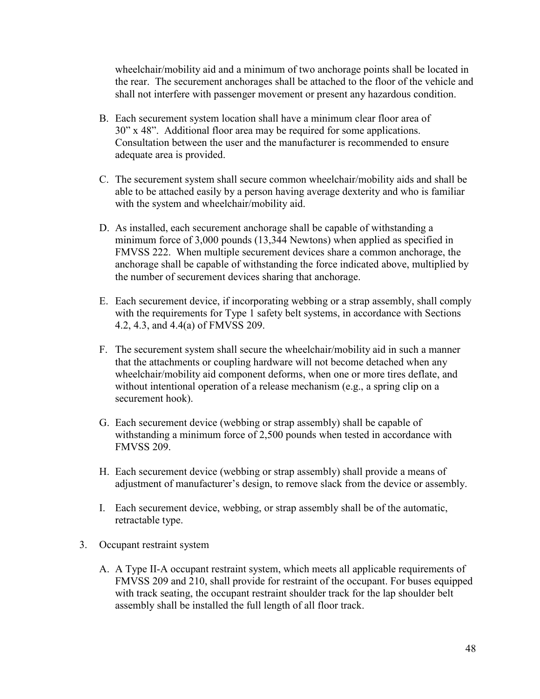wheelchair/mobility aid and a minimum of two anchorage points shall be located in the rear. The securement anchorages shall be attached to the floor of the vehicle and shall not interfere with passenger movement or present any hazardous condition.

- B. Each securement system location shall have a minimum clear floor area of 30" x 48". Additional floor area may be required for some applications. Consultation between the user and the manufacturer is recommended to ensure adequate area is provided.
- C. The securement system shall secure common wheelchair/mobility aids and shall be able to be attached easily by a person having average dexterity and who is familiar with the system and wheelchair/mobility aid.
- D. As installed, each securement anchorage shall be capable of withstanding a minimum force of 3,000 pounds (13,344 Newtons) when applied as specified in FMVSS 222. When multiple securement devices share a common anchorage, the anchorage shall be capable of withstanding the force indicated above, multiplied by the number of securement devices sharing that anchorage.
- E. Each securement device, if incorporating webbing or a strap assembly, shall comply with the requirements for Type 1 safety belt systems, in accordance with Sections 4.2, 4.3, and 4.4(a) of FMVSS 209.
- F. The securement system shall secure the wheelchair/mobility aid in such a manner that the attachments or coupling hardware will not become detached when any wheelchair/mobility aid component deforms, when one or more tires deflate, and without intentional operation of a release mechanism (e.g., a spring clip on a securement hook).
- G. Each securement device (webbing or strap assembly) shall be capable of withstanding a minimum force of 2,500 pounds when tested in accordance with FMVSS 209.
- H. Each securement device (webbing or strap assembly) shall provide a means of adjustment of manufacturer's design, to remove slack from the device or assembly.
- I. Each securement device, webbing, or strap assembly shall be of the automatic, retractable type.
- 3. Occupant restraint system
	- A. A Type II-A occupant restraint system, which meets all applicable requirements of FMVSS 209 and 210, shall provide for restraint of the occupant. For buses equipped with track seating, the occupant restraint shoulder track for the lap shoulder belt assembly shall be installed the full length of all floor track.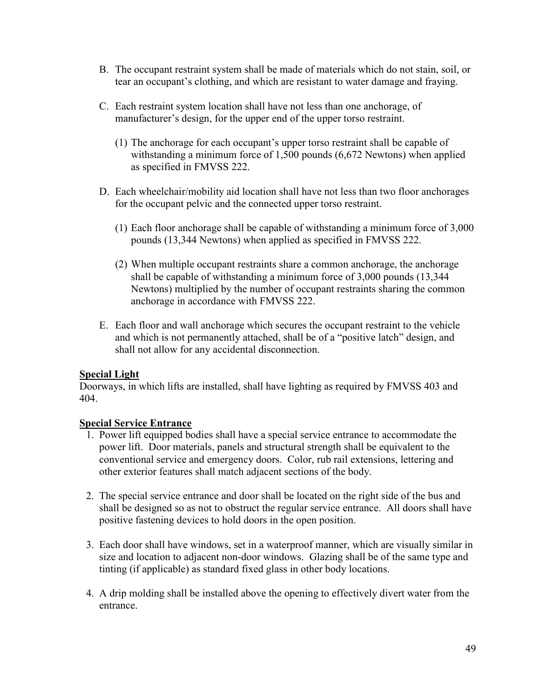- B. The occupant restraint system shall be made of materials which do not stain, soil, or tear an occupant's clothing, and which are resistant to water damage and fraying.
- C. Each restraint system location shall have not less than one anchorage, of manufacturer's design, for the upper end of the upper torso restraint.
	- (1) The anchorage for each occupant's upper torso restraint shall be capable of withstanding a minimum force of 1,500 pounds (6,672 Newtons) when applied as specified in FMVSS 222.
- D. Each wheelchair/mobility aid location shall have not less than two floor anchorages for the occupant pelvic and the connected upper torso restraint.
	- (1) Each floor anchorage shall be capable of withstanding a minimum force of 3,000 pounds (13,344 Newtons) when applied as specified in FMVSS 222.
	- (2) When multiple occupant restraints share a common anchorage, the anchorage shall be capable of withstanding a minimum force of 3,000 pounds (13,344 Newtons) multiplied by the number of occupant restraints sharing the common anchorage in accordance with FMVSS 222.
- E. Each floor and wall anchorage which secures the occupant restraint to the vehicle and which is not permanently attached, shall be of a "positive latch" design, and shall not allow for any accidental disconnection.

#### **Special Light**

Doorways, in which lifts are installed, shall have lighting as required by FMVSS 403 and 404.

## **Special Service Entrance**

- 1. Power lift equipped bodies shall have a special service entrance to accommodate the power lift. Door materials, panels and structural strength shall be equivalent to the conventional service and emergency doors. Color, rub rail extensions, lettering and other exterior features shall match adjacent sections of the body.
- 2. The special service entrance and door shall be located on the right side of the bus and shall be designed so as not to obstruct the regular service entrance. All doors shall have positive fastening devices to hold doors in the open position.
- 3. Each door shall have windows, set in a waterproof manner, which are visually similar in size and location to adjacent non-door windows. Glazing shall be of the same type and tinting (if applicable) as standard fixed glass in other body locations.
- 4. A drip molding shall be installed above the opening to effectively divert water from the entrance.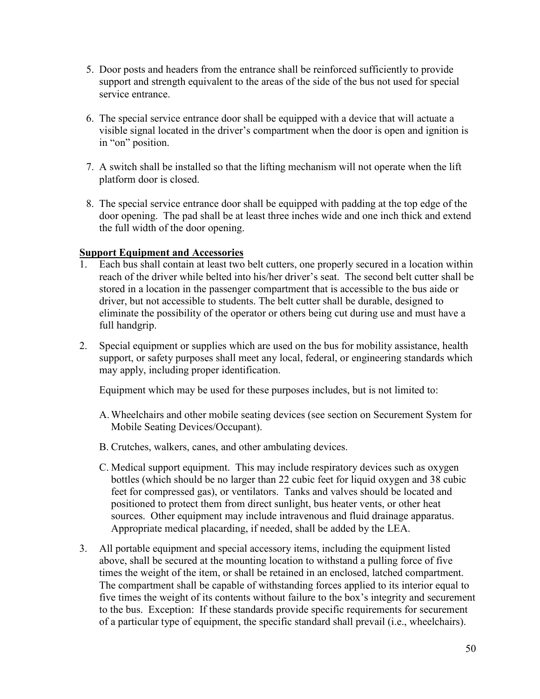- 5. Door posts and headers from the entrance shall be reinforced sufficiently to provide support and strength equivalent to the areas of the side of the bus not used for special service entrance.
- 6. The special service entrance door shall be equipped with a device that will actuate a visible signal located in the driver's compartment when the door is open and ignition is in "on" position.
- 7. A switch shall be installed so that the lifting mechanism will not operate when the lift platform door is closed.
- 8. The special service entrance door shall be equipped with padding at the top edge of the door opening. The pad shall be at least three inches wide and one inch thick and extend the full width of the door opening.

#### **Support Equipment and Accessories**

- 1. Each bus shall contain at least two belt cutters, one properly secured in a location within reach of the driver while belted into his/her driver's seat. The second belt cutter shall be stored in a location in the passenger compartment that is accessible to the bus aide or driver, but not accessible to students. The belt cutter shall be durable, designed to eliminate the possibility of the operator or others being cut during use and must have a full handgrip.
- 2. Special equipment or supplies which are used on the bus for mobility assistance, health support, or safety purposes shall meet any local, federal, or engineering standards which may apply, including proper identification.

Equipment which may be used for these purposes includes, but is not limited to:

- A. Wheelchairs and other mobile seating devices (see section on Securement System for Mobile Seating Devices/Occupant).
- B. Crutches, walkers, canes, and other ambulating devices.
- C. Medical support equipment. This may include respiratory devices such as oxygen bottles (which should be no larger than 22 cubic feet for liquid oxygen and 38 cubic feet for compressed gas), or ventilators. Tanks and valves should be located and positioned to protect them from direct sunlight, bus heater vents, or other heat sources. Other equipment may include intravenous and fluid drainage apparatus. Appropriate medical placarding, if needed, shall be added by the LEA.
- 3. All portable equipment and special accessory items, including the equipment listed above, shall be secured at the mounting location to withstand a pulling force of five times the weight of the item, or shall be retained in an enclosed, latched compartment. The compartment shall be capable of withstanding forces applied to its interior equal to five times the weight of its contents without failure to the box's integrity and securement to the bus. Exception: If these standards provide specific requirements for securement of a particular type of equipment, the specific standard shall prevail (i.e., wheelchairs).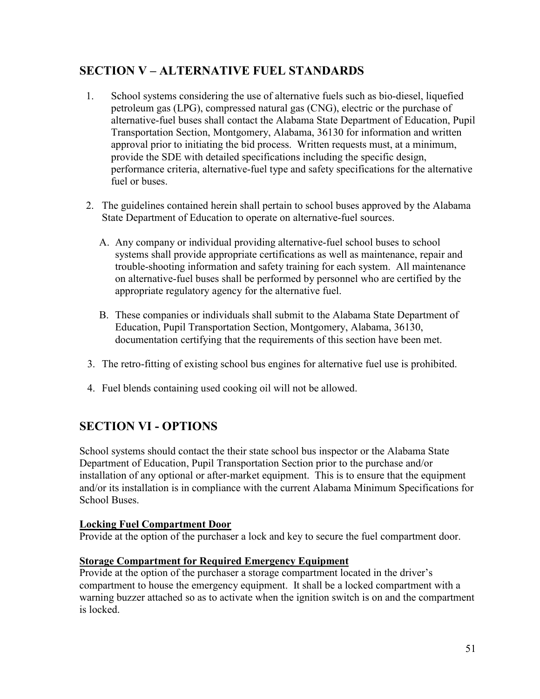## **SECTION V – ALTERNATIVE FUEL STANDARDS**

- 1. School systems considering the use of alternative fuels such as bio-diesel, liquefied petroleum gas (LPG), compressed natural gas (CNG), electric or the purchase of alternative-fuel buses shall contact the Alabama State Department of Education, Pupil Transportation Section, Montgomery, Alabama, 36130 for information and written approval prior to initiating the bid process. Written requests must, at a minimum, provide the SDE with detailed specifications including the specific design, performance criteria, alternative-fuel type and safety specifications for the alternative fuel or buses.
- 2. The guidelines contained herein shall pertain to school buses approved by the Alabama State Department of Education to operate on alternative-fuel sources.
	- A. Any company or individual providing alternative-fuel school buses to school systems shall provide appropriate certifications as well as maintenance, repair and trouble-shooting information and safety training for each system. All maintenance on alternative-fuel buses shall be performed by personnel who are certified by the appropriate regulatory agency for the alternative fuel.
	- B. These companies or individuals shall submit to the Alabama State Department of Education, Pupil Transportation Section, Montgomery, Alabama, 36130, documentation certifying that the requirements of this section have been met.
- 3. The retro-fitting of existing school bus engines for alternative fuel use is prohibited.
- 4. Fuel blends containing used cooking oil will not be allowed.

# **SECTION VI - OPTIONS**

School systems should contact the their state school bus inspector or the Alabama State Department of Education, Pupil Transportation Section prior to the purchase and/or installation of any optional or after-market equipment. This is to ensure that the equipment and/or its installation is in compliance with the current Alabama Minimum Specifications for School Buses.

#### **Locking Fuel Compartment Door**

Provide at the option of the purchaser a lock and key to secure the fuel compartment door.

#### **Storage Compartment for Required Emergency Equipment**

Provide at the option of the purchaser a storage compartment located in the driver's compartment to house the emergency equipment. It shall be a locked compartment with a warning buzzer attached so as to activate when the ignition switch is on and the compartment is locked.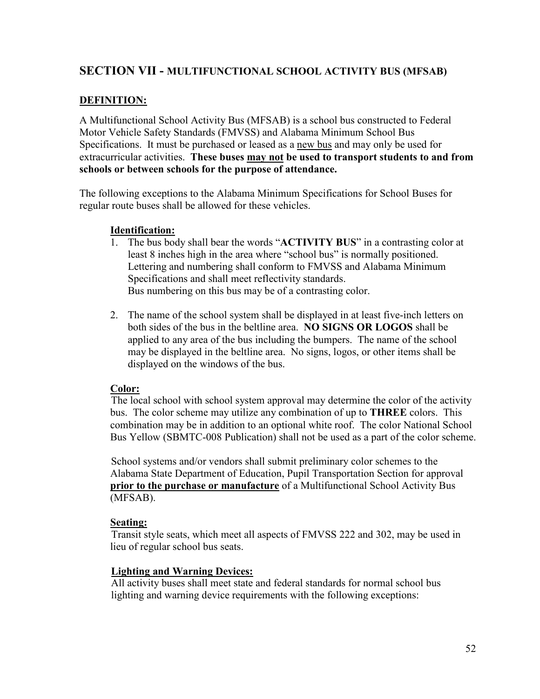#### **SECTION VII - MULTIFUNCTIONAL SCHOOL ACTIVITY BUS (MFSAB)**

#### **DEFINITION:**

A Multifunctional School Activity Bus (MFSAB) is a school bus constructed to Federal Motor Vehicle Safety Standards (FMVSS) and Alabama Minimum School Bus Specifications. It must be purchased or leased as a new bus and may only be used for extracurricular activities. **These buses may not be used to transport students to and from schools or between schools for the purpose of attendance.** 

The following exceptions to the Alabama Minimum Specifications for School Buses for regular route buses shall be allowed for these vehicles.

#### **Identification:**

- 1. The bus body shall bear the words "**ACTIVITY BUS**" in a contrasting color at least 8 inches high in the area where "school bus" is normally positioned. Lettering and numbering shall conform to FMVSS and Alabama Minimum Specifications and shall meet reflectivity standards. Bus numbering on this bus may be of a contrasting color.
- 2. The name of the school system shall be displayed in at least five-inch letters on both sides of the bus in the beltline area. **NO SIGNS OR LOGOS** shall be applied to any area of the bus including the bumpers. The name of the school may be displayed in the beltline area. No signs, logos, or other items shall be displayed on the windows of the bus.

#### **Color:**

 The local school with school system approval may determine the color of the activity bus. The color scheme may utilize any combination of up to **THREE** colors. This combination may be in addition to an optional white roof. The color National School Bus Yellow (SBMTC-008 Publication) shall not be used as a part of the color scheme.

 School systems and/or vendors shall submit preliminary color schemes to the Alabama State Department of Education, Pupil Transportation Section for approval **prior to the purchase or manufacture** of a Multifunctional School Activity Bus (MFSAB).

#### **Seating:**

Transit style seats, which meet all aspects of FMVSS 222 and 302, may be used in lieu of regular school bus seats.

#### **Lighting and Warning Devices:**

All activity buses shall meet state and federal standards for normal school bus lighting and warning device requirements with the following exceptions: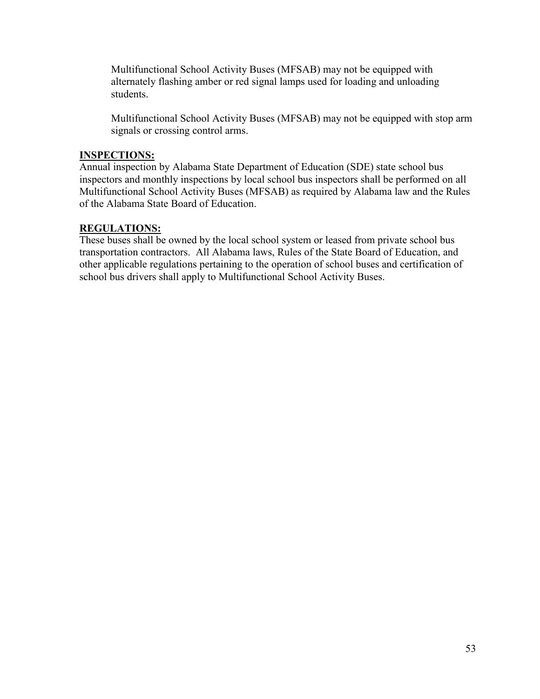Multifunctional School Activity Buses (MFSAB) may not be equipped with alternately flashing amber or red signal lamps used for loading and unloading students.

Multifunctional School Activity Buses (MFSAB) may not be equipped with stop arm signals or crossing control arms.

#### **INSPECTIONS:**

Annual inspection by Alabama State Department of Education (SDE) state school bus inspectors and monthly inspections by local school bus inspectors shall be performed on all Multifunctional School Activity Buses (MFSAB) as required by Alabama law and the Rules of the Alabama State Board of Education.

#### **REGULATIONS:**

These buses shall be owned by the local school system or leased from private school bus transportation contractors. All Alabama laws, Rules of the State Board of Education, and other applicable regulations pertaining to the operation of school buses and certification of school bus drivers shall apply to Multifunctional School Activity Buses.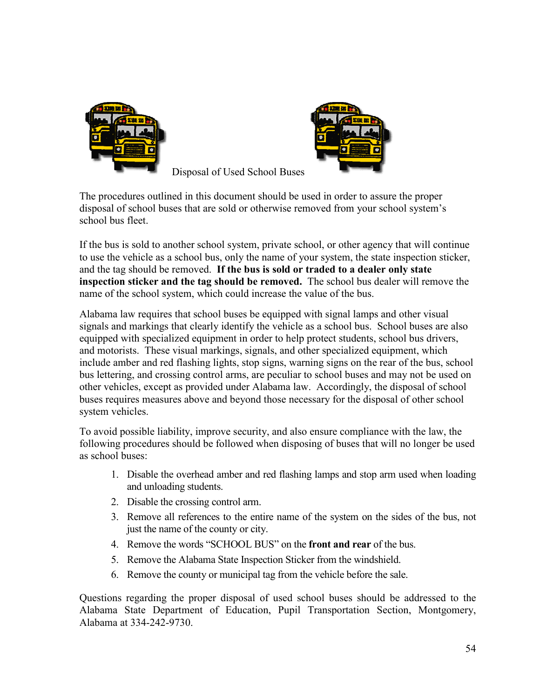



Disposal of Used School Buses

The procedures outlined in this document should be used in order to assure the proper disposal of school buses that are sold or otherwise removed from your school system's school bus fleet.

If the bus is sold to another school system, private school, or other agency that will continue to use the vehicle as a school bus, only the name of your system, the state inspection sticker, and the tag should be removed. **If the bus is sold or traded to a dealer only state inspection sticker and the tag should be removed.** The school bus dealer will remove the name of the school system, which could increase the value of the bus.

Alabama law requires that school buses be equipped with signal lamps and other visual signals and markings that clearly identify the vehicle as a school bus. School buses are also equipped with specialized equipment in order to help protect students, school bus drivers, and motorists. These visual markings, signals, and other specialized equipment, which include amber and red flashing lights, stop signs, warning signs on the rear of the bus, school bus lettering, and crossing control arms, are peculiar to school buses and may not be used on other vehicles, except as provided under Alabama law. Accordingly, the disposal of school buses requires measures above and beyond those necessary for the disposal of other school system vehicles.

To avoid possible liability, improve security, and also ensure compliance with the law, the following procedures should be followed when disposing of buses that will no longer be used as school buses:

- 1. Disable the overhead amber and red flashing lamps and stop arm used when loading and unloading students.
- 2. Disable the crossing control arm.
- 3. Remove all references to the entire name of the system on the sides of the bus, not just the name of the county or city.
- 4. Remove the words "SCHOOL BUS" on the **front and rear** of the bus.
- 5. Remove the Alabama State Inspection Sticker from the windshield.
- 6. Remove the county or municipal tag from the vehicle before the sale.

Questions regarding the proper disposal of used school buses should be addressed to the Alabama State Department of Education, Pupil Transportation Section, Montgomery, Alabama at 334-242-9730.